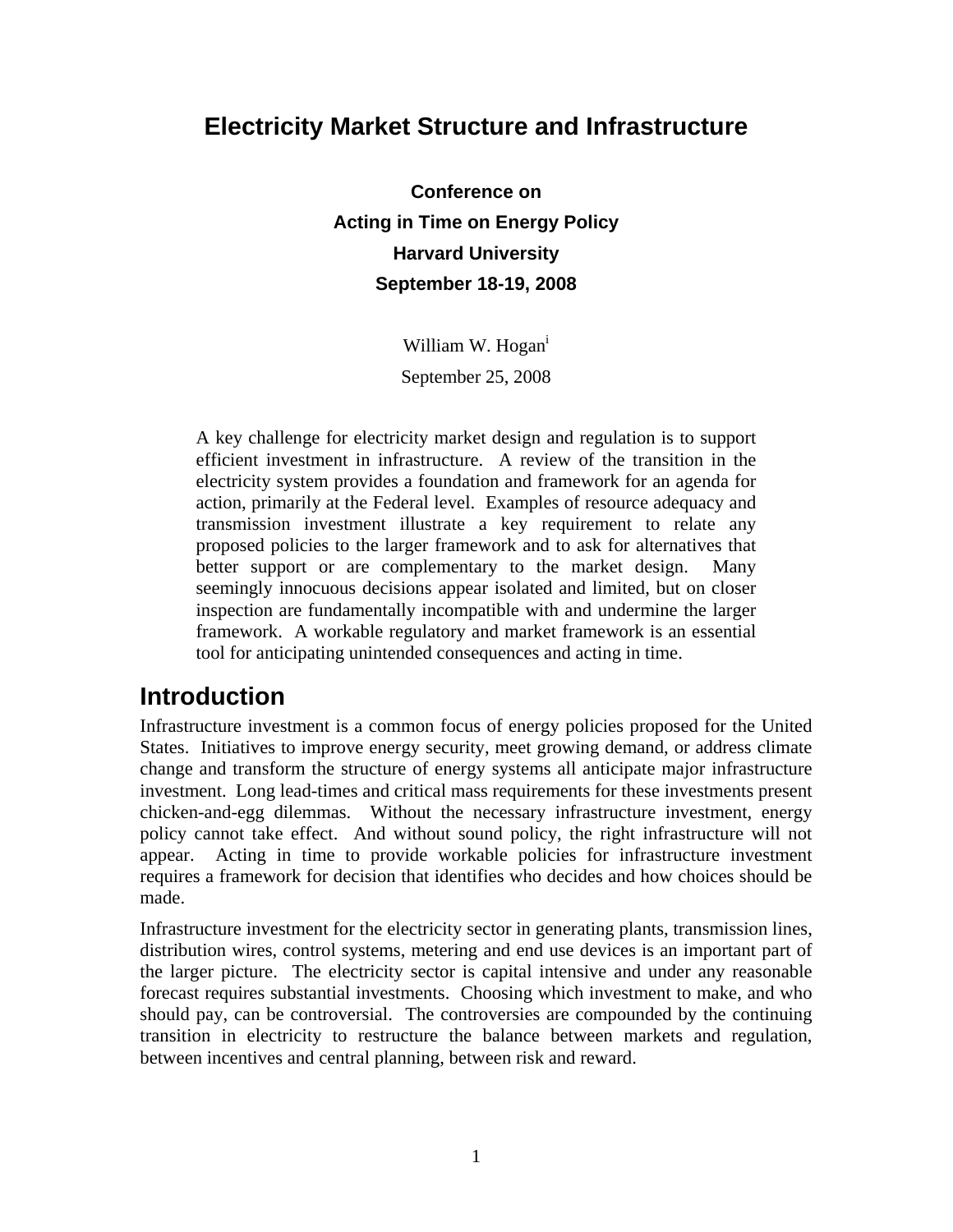### **Electricity Market Structure and Infrastructure**

**Conference on Acting in Time on Energy Policy Harvard University September 18-19, 2008** 

> William W. Hogan<sup>i</sup> September 25, 2008

A key challenge for electricity market design and regulation is to support efficient investment in infrastructure. A review of the transition in the electricity system provides a foundation and framework for an agenda for action, primarily at the Federal level. Examples of resource adequacy and transmission investment illustrate a key requirement to relate any proposed policies to the larger framework and to ask for alternatives that better support or are complementary to the market design. Many seemingly innocuous decisions appear isolated and limited, but on closer inspection are fundamentally incompatible with and undermine the larger framework. A workable regulatory and market framework is an essential tool for anticipating unintended consequences and acting in time.

### **Introduction**

Infrastructure investment is a common focus of energy policies proposed for the United States. Initiatives to improve energy security, meet growing demand, or address climate change and transform the structure of energy systems all anticipate major infrastructure investment. Long lead-times and critical mass requirements for these investments present chicken-and-egg dilemmas. Without the necessary infrastructure investment, energy policy cannot take effect. And without sound policy, the right infrastructure will not appear. Acting in time to provide workable policies for infrastructure investment requires a framework for decision that identifies who decides and how choices should be made.

Infrastructure investment for the electricity sector in generating plants, transmission lines, distribution wires, control systems, metering and end use devices is an important part of the larger picture. The electricity sector is capital intensive and under any reasonable forecast requires substantial investments. Choosing which investment to make, and who should pay, can be controversial. The controversies are compounded by the continuing transition in electricity to restructure the balance between markets and regulation, between incentives and central planning, between risk and reward.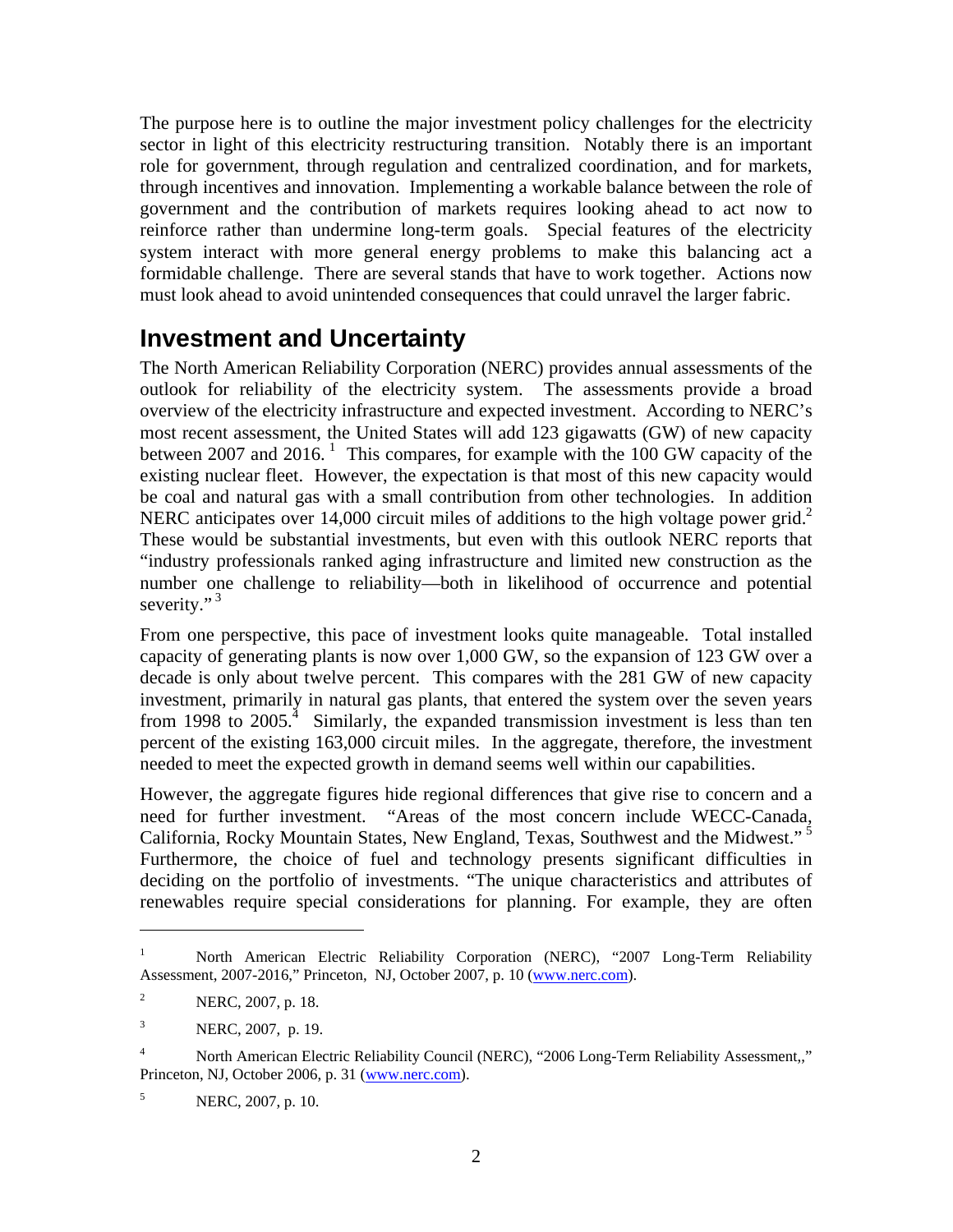The purpose here is to outline the major investment policy challenges for the electricity sector in light of this electricity restructuring transition. Notably there is an important role for government, through regulation and centralized coordination, and for markets, through incentives and innovation. Implementing a workable balance between the role of government and the contribution of markets requires looking ahead to act now to reinforce rather than undermine long-term goals. Special features of the electricity system interact with more general energy problems to make this balancing act a formidable challenge. There are several stands that have to work together. Actions now must look ahead to avoid unintended consequences that could unravel the larger fabric.

# **Investment and Uncertainty**

The North American Reliability Corporation (NERC) provides annual assessments of the outlook for reliability of the electricity system. The assessments provide a broad overview of the electricity infrastructure and expected investment. According to NERC's most recent assessment, the United States will add 123 gigawatts (GW) of new capacity between 2007 and 2016.<sup>1</sup> This compares, for example with the 100 GW capacity of the existing nuclear fleet. However, the expectation is that most of this new capacity would be coal and natural gas with a small contribution from other technologies. In addition NERC anticipates over 14,000 circuit miles of additions to the high voltage power grid.<sup>2</sup> These would be substantial investments, but even with this outlook NERC reports that "industry professionals ranked aging infrastructure and limited new construction as the number one challenge to reliability—both in likelihood of occurrence and potential severity."<sup>3</sup>

From one perspective, this pace of investment looks quite manageable. Total installed capacity of generating plants is now over 1,000 GW, so the expansion of 123 GW over a decade is only about twelve percent. This compares with the 281 GW of new capacity investment, primarily in natural gas plants, that entered the system over the seven years from 1998 to 2005.<sup>4</sup> Similarly, the expanded transmission investment is less than ten percent of the existing 163,000 circuit miles. In the aggregate, therefore, the investment needed to meet the expected growth in demand seems well within our capabilities.

However, the aggregate figures hide regional differences that give rise to concern and a need for further investment. "Areas of the most concern include WECC-Canada, California, Rocky Mountain States, New England, Texas, Southwest and the Midwest." 5 Furthermore, the choice of fuel and technology presents significant difficulties in deciding on the portfolio of investments. "The unique characteristics and attributes of renewables require special considerations for planning. For example, they are often

<u>.</u>

<sup>1</sup> North American Electric Reliability Corporation (NERC), "2007 Long-Term Reliability Assessment, 2007-2016," Princeton, NJ, October 2007, p. 10 (www.nerc.com).

<sup>2</sup> NERC, 2007, p. 18.

<sup>3</sup> NERC, 2007, p. 19.

<sup>4</sup> North American Electric Reliability Council (NERC), "2006 Long-Term Reliability Assessment,," Princeton, NJ, October 2006, p. 31 (www.nerc.com).

<sup>5</sup> NERC, 2007, p. 10.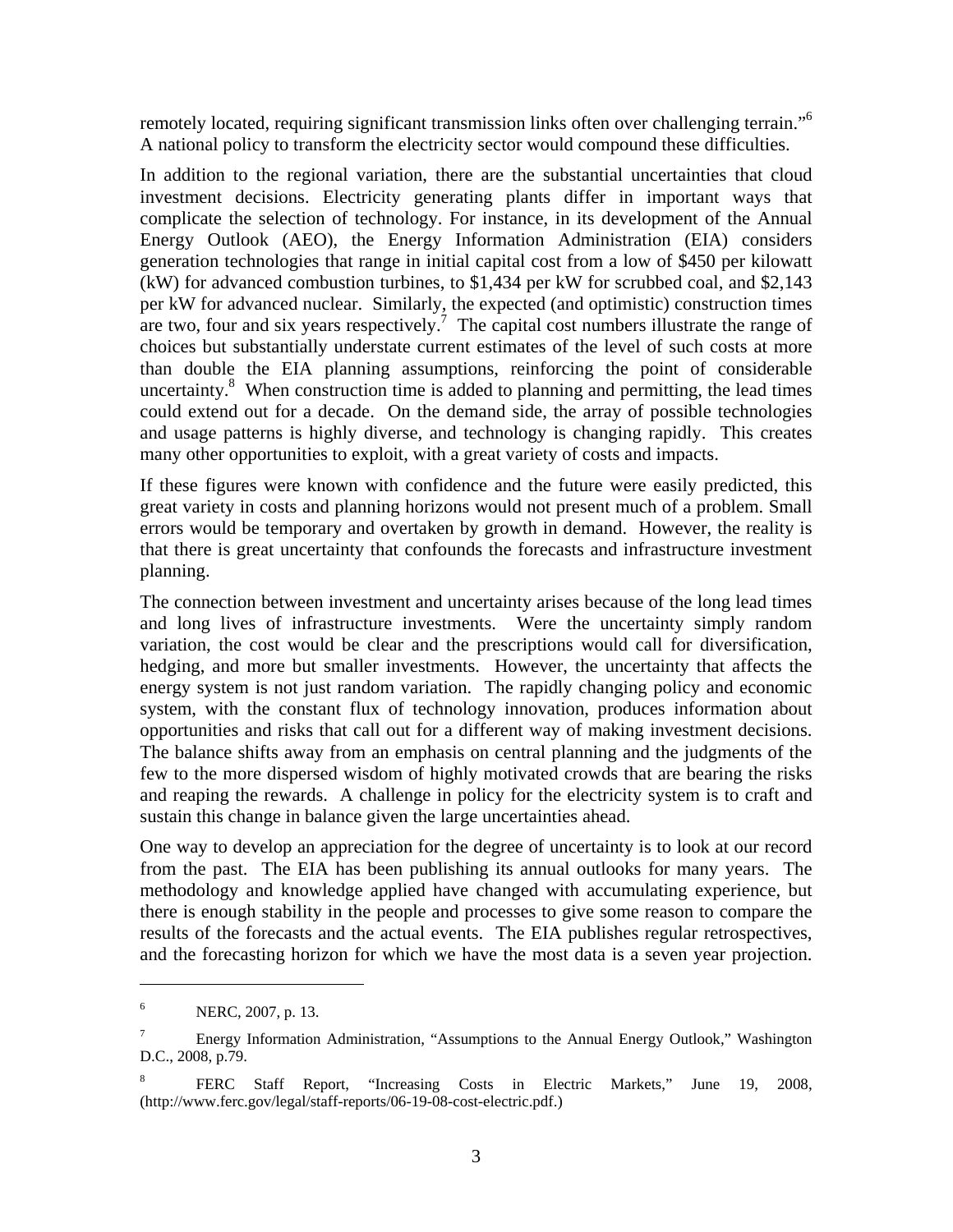remotely located, requiring significant transmission links often over challenging terrain."<sup>6</sup> A national policy to transform the electricity sector would compound these difficulties.

In addition to the regional variation, there are the substantial uncertainties that cloud investment decisions. Electricity generating plants differ in important ways that complicate the selection of technology. For instance, in its development of the Annual Energy Outlook (AEO), the Energy Information Administration (EIA) considers generation technologies that range in initial capital cost from a low of \$450 per kilowatt (kW) for advanced combustion turbines, to \$1,434 per kW for scrubbed coal, and \$2,143 per kW for advanced nuclear. Similarly, the expected (and optimistic) construction times are two, four and six years respectively.<sup>7</sup> The capital cost numbers illustrate the range of choices but substantially understate current estimates of the level of such costs at more than double the EIA planning assumptions, reinforcing the point of considerable uncertainty. $8$  When construction time is added to planning and permitting, the lead times could extend out for a decade. On the demand side, the array of possible technologies and usage patterns is highly diverse, and technology is changing rapidly. This creates many other opportunities to exploit, with a great variety of costs and impacts.

If these figures were known with confidence and the future were easily predicted, this great variety in costs and planning horizons would not present much of a problem. Small errors would be temporary and overtaken by growth in demand. However, the reality is that there is great uncertainty that confounds the forecasts and infrastructure investment planning.

The connection between investment and uncertainty arises because of the long lead times and long lives of infrastructure investments. Were the uncertainty simply random variation, the cost would be clear and the prescriptions would call for diversification, hedging, and more but smaller investments. However, the uncertainty that affects the energy system is not just random variation. The rapidly changing policy and economic system, with the constant flux of technology innovation, produces information about opportunities and risks that call out for a different way of making investment decisions. The balance shifts away from an emphasis on central planning and the judgments of the few to the more dispersed wisdom of highly motivated crowds that are bearing the risks and reaping the rewards. A challenge in policy for the electricity system is to craft and sustain this change in balance given the large uncertainties ahead.

One way to develop an appreciation for the degree of uncertainty is to look at our record from the past. The EIA has been publishing its annual outlooks for many years. The methodology and knowledge applied have changed with accumulating experience, but there is enough stability in the people and processes to give some reason to compare the results of the forecasts and the actual events. The EIA publishes regular retrospectives, and the forecasting horizon for which we have the most data is a seven year projection.

<sup>6</sup> NERC, 2007, p. 13.

<sup>7</sup> Energy Information Administration, "Assumptions to the Annual Energy Outlook," Washington D.C., 2008, p.79.

<sup>8</sup> FERC Staff Report, "Increasing Costs in Electric Markets," June 19, 2008, (http://www.ferc.gov/legal/staff-reports/06-19-08-cost-electric.pdf.)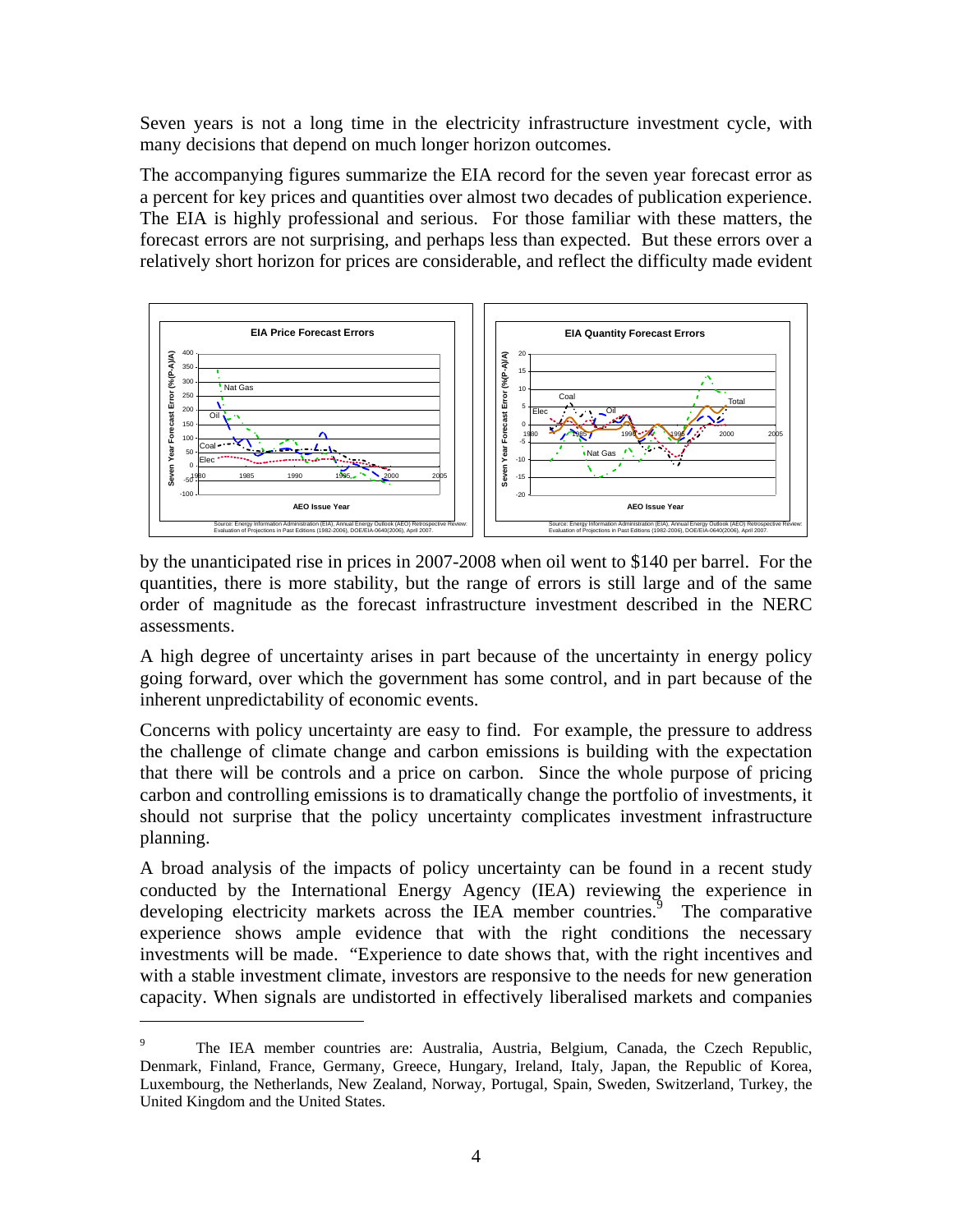Seven years is not a long time in the electricity infrastructure investment cycle, with many decisions that depend on much longer horizon outcomes.

The accompanying figures summarize the EIA record for the seven year forecast error as a percent for key prices and quantities over almost two decades of publication experience. The EIA is highly professional and serious. For those familiar with these matters, the forecast errors are not surprising, and perhaps less than expected. But these errors over a relatively short horizon for prices are considerable, and reflect the difficulty made evident



by the unanticipated rise in prices in 2007-2008 when oil went to \$140 per barrel. For the quantities, there is more stability, but the range of errors is still large and of the same order of magnitude as the forecast infrastructure investment described in the NERC assessments.

A high degree of uncertainty arises in part because of the uncertainty in energy policy going forward, over which the government has some control, and in part because of the inherent unpredictability of economic events.

Concerns with policy uncertainty are easy to find. For example, the pressure to address the challenge of climate change and carbon emissions is building with the expectation that there will be controls and a price on carbon. Since the whole purpose of pricing carbon and controlling emissions is to dramatically change the portfolio of investments, it should not surprise that the policy uncertainty complicates investment infrastructure planning.

A broad analysis of the impacts of policy uncertainty can be found in a recent study conducted by the International Energy Agency (IEA) reviewing the experience in developing electricity markets across the IEA member countries.<sup>9</sup> The comparative experience shows ample evidence that with the right conditions the necessary investments will be made. "Experience to date shows that, with the right incentives and with a stable investment climate, investors are responsive to the needs for new generation capacity. When signals are undistorted in effectively liberalised markets and companies

<sup>9</sup> The IEA member countries are: Australia, Austria, Belgium, Canada, the Czech Republic, Denmark, Finland, France, Germany, Greece, Hungary, Ireland, Italy, Japan, the Republic of Korea, Luxembourg, the Netherlands, New Zealand, Norway, Portugal, Spain, Sweden, Switzerland, Turkey, the United Kingdom and the United States.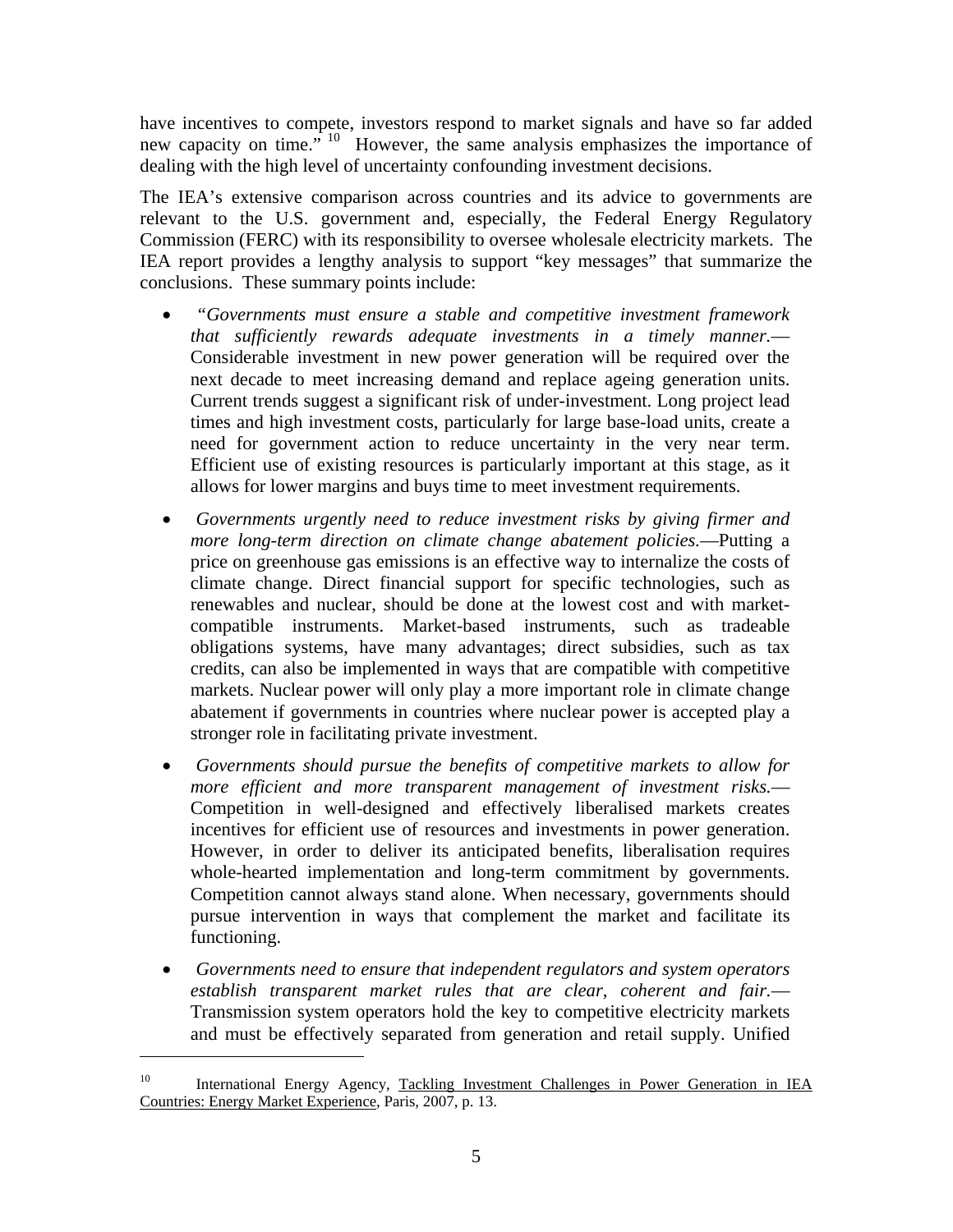have incentives to compete, investors respond to market signals and have so far added new capacity on time." <sup>10</sup> However, the same analysis emphasizes the importance of dealing with the high level of uncertainty confounding investment decisions.

The IEA's extensive comparison across countries and its advice to governments are relevant to the U.S. government and, especially, the Federal Energy Regulatory Commission (FERC) with its responsibility to oversee wholesale electricity markets. The IEA report provides a lengthy analysis to support "key messages" that summarize the conclusions. These summary points include:

- *"Governments must ensure a stable and competitive investment framework that sufficiently rewards adequate investments in a timely manner.*— Considerable investment in new power generation will be required over the next decade to meet increasing demand and replace ageing generation units. Current trends suggest a significant risk of under-investment. Long project lead times and high investment costs, particularly for large base-load units, create a need for government action to reduce uncertainty in the very near term. Efficient use of existing resources is particularly important at this stage, as it allows for lower margins and buys time to meet investment requirements.
- *Governments urgently need to reduce investment risks by giving firmer and more long-term direction on climate change abatement policies.*—Putting a price on greenhouse gas emissions is an effective way to internalize the costs of climate change. Direct financial support for specific technologies, such as renewables and nuclear, should be done at the lowest cost and with marketcompatible instruments. Market-based instruments, such as tradeable obligations systems, have many advantages; direct subsidies, such as tax credits, can also be implemented in ways that are compatible with competitive markets. Nuclear power will only play a more important role in climate change abatement if governments in countries where nuclear power is accepted play a stronger role in facilitating private investment.
- *Governments should pursue the benefits of competitive markets to allow for more efficient and more transparent management of investment risks.*— Competition in well-designed and effectively liberalised markets creates incentives for efficient use of resources and investments in power generation. However, in order to deliver its anticipated benefits, liberalisation requires whole-hearted implementation and long-term commitment by governments. Competition cannot always stand alone. When necessary, governments should pursue intervention in ways that complement the market and facilitate its functioning.
- *Governments need to ensure that independent regulators and system operators establish transparent market rules that are clear, coherent and fair.*— Transmission system operators hold the key to competitive electricity markets and must be effectively separated from generation and retail supply. Unified

<sup>&</sup>lt;sup>10</sup> International Energy Agency, Tackling Investment Challenges in Power Generation in IEA Countries: Energy Market Experience, Paris, 2007, p. 13.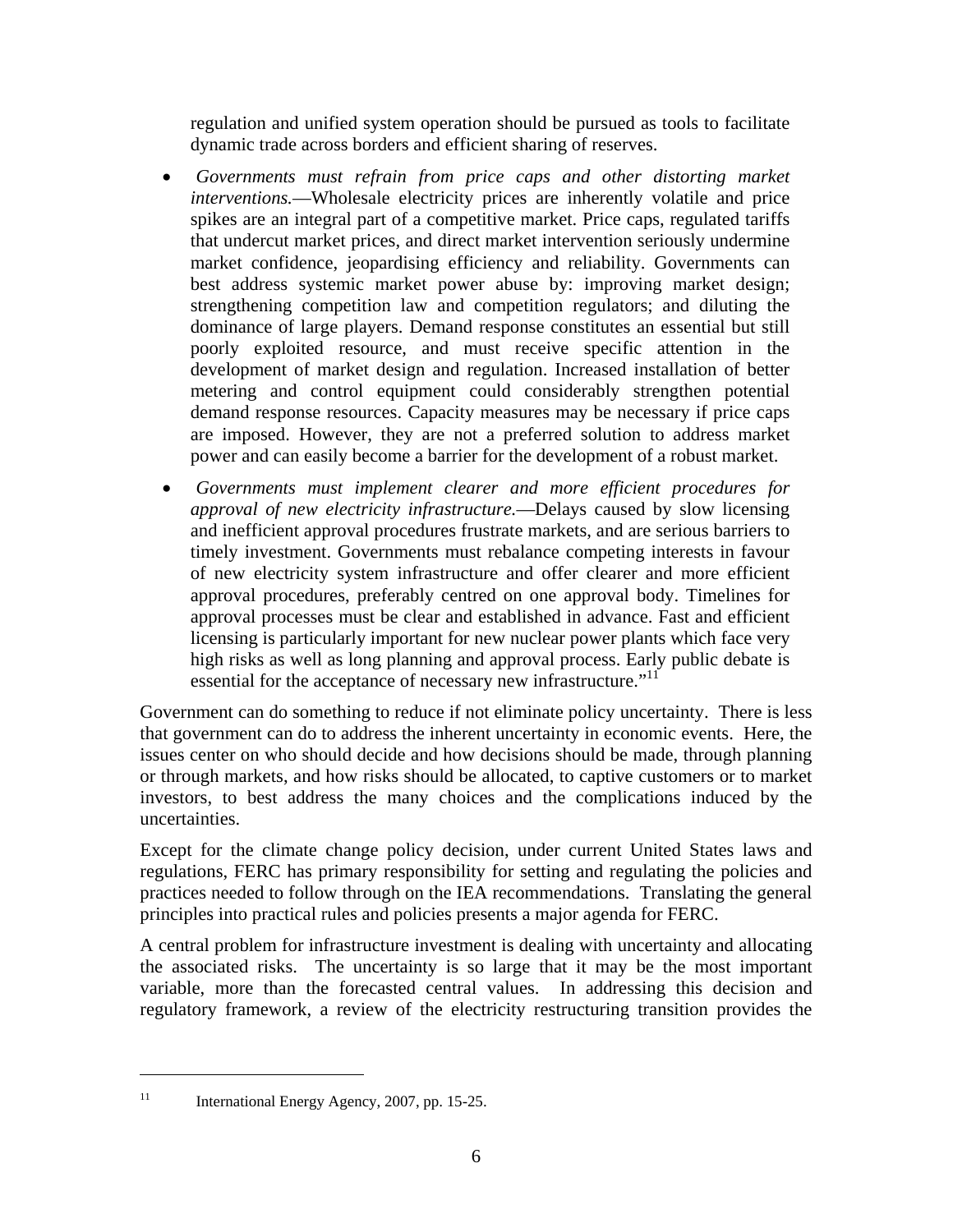regulation and unified system operation should be pursued as tools to facilitate dynamic trade across borders and efficient sharing of reserves.

- *Governments must refrain from price caps and other distorting market interventions.*—Wholesale electricity prices are inherently volatile and price spikes are an integral part of a competitive market. Price caps, regulated tariffs that undercut market prices, and direct market intervention seriously undermine market confidence, jeopardising efficiency and reliability. Governments can best address systemic market power abuse by: improving market design; strengthening competition law and competition regulators; and diluting the dominance of large players. Demand response constitutes an essential but still poorly exploited resource, and must receive specific attention in the development of market design and regulation. Increased installation of better metering and control equipment could considerably strengthen potential demand response resources. Capacity measures may be necessary if price caps are imposed. However, they are not a preferred solution to address market power and can easily become a barrier for the development of a robust market.
- *Governments must implement clearer and more efficient procedures for approval of new electricity infrastructure.*—Delays caused by slow licensing and inefficient approval procedures frustrate markets, and are serious barriers to timely investment. Governments must rebalance competing interests in favour of new electricity system infrastructure and offer clearer and more efficient approval procedures, preferably centred on one approval body. Timelines for approval processes must be clear and established in advance. Fast and efficient licensing is particularly important for new nuclear power plants which face very high risks as well as long planning and approval process. Early public debate is essential for the acceptance of necessary new infrastructure."<sup>11</sup>

Government can do something to reduce if not eliminate policy uncertainty. There is less that government can do to address the inherent uncertainty in economic events. Here, the issues center on who should decide and how decisions should be made, through planning or through markets, and how risks should be allocated, to captive customers or to market investors, to best address the many choices and the complications induced by the uncertainties.

Except for the climate change policy decision, under current United States laws and regulations, FERC has primary responsibility for setting and regulating the policies and practices needed to follow through on the IEA recommendations. Translating the general principles into practical rules and policies presents a major agenda for FERC.

A central problem for infrastructure investment is dealing with uncertainty and allocating the associated risks. The uncertainty is so large that it may be the most important variable, more than the forecasted central values. In addressing this decision and regulatory framework, a review of the electricity restructuring transition provides the

<sup>&</sup>lt;sup>11</sup> International Energy Agency, 2007, pp. 15-25.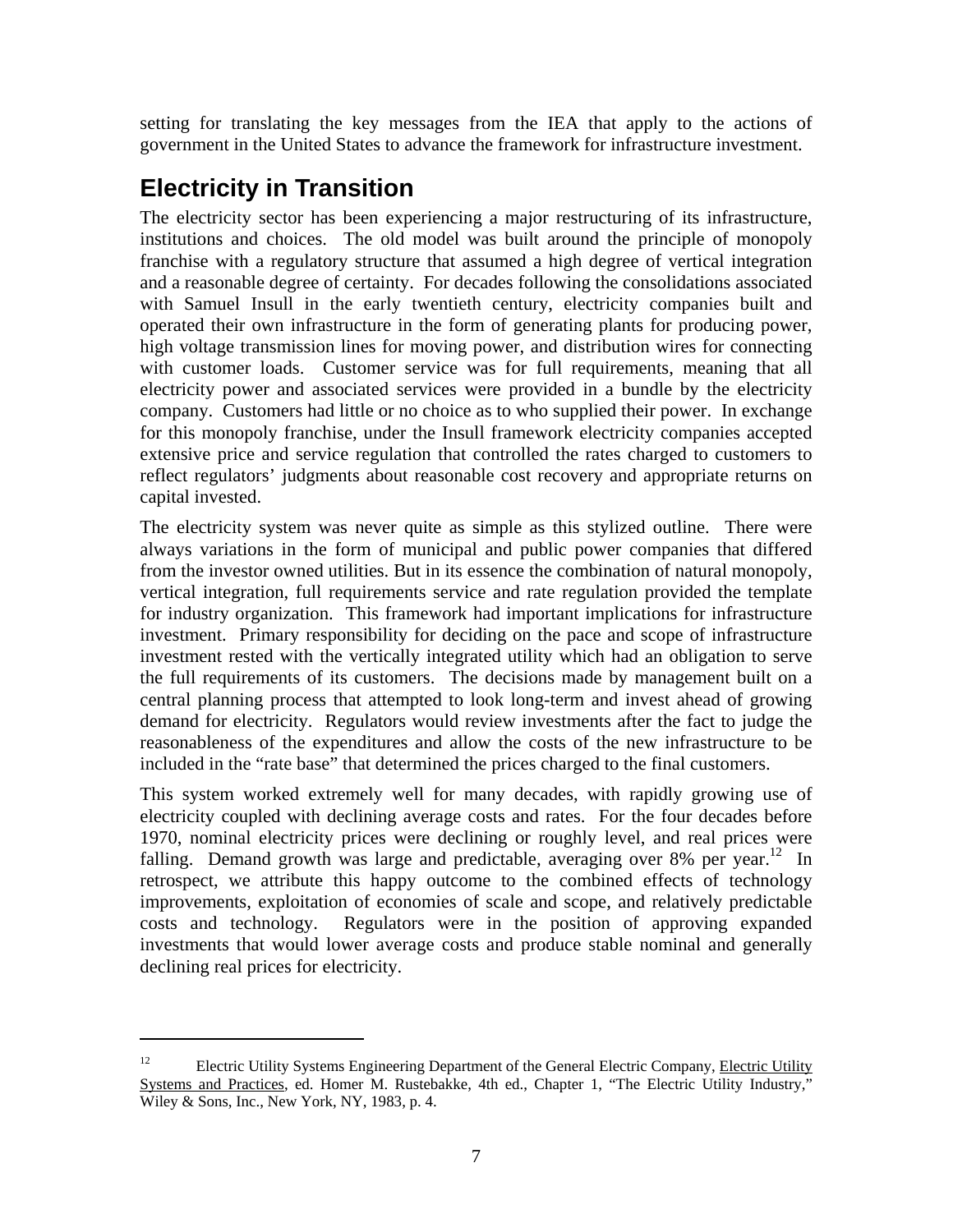setting for translating the key messages from the IEA that apply to the actions of government in the United States to advance the framework for infrastructure investment.

# **Electricity in Transition**

1

The electricity sector has been experiencing a major restructuring of its infrastructure, institutions and choices. The old model was built around the principle of monopoly franchise with a regulatory structure that assumed a high degree of vertical integration and a reasonable degree of certainty. For decades following the consolidations associated with Samuel Insull in the early twentieth century, electricity companies built and operated their own infrastructure in the form of generating plants for producing power, high voltage transmission lines for moving power, and distribution wires for connecting with customer loads. Customer service was for full requirements, meaning that all electricity power and associated services were provided in a bundle by the electricity company. Customers had little or no choice as to who supplied their power. In exchange for this monopoly franchise, under the Insull framework electricity companies accepted extensive price and service regulation that controlled the rates charged to customers to reflect regulators' judgments about reasonable cost recovery and appropriate returns on capital invested.

The electricity system was never quite as simple as this stylized outline. There were always variations in the form of municipal and public power companies that differed from the investor owned utilities. But in its essence the combination of natural monopoly, vertical integration, full requirements service and rate regulation provided the template for industry organization. This framework had important implications for infrastructure investment. Primary responsibility for deciding on the pace and scope of infrastructure investment rested with the vertically integrated utility which had an obligation to serve the full requirements of its customers. The decisions made by management built on a central planning process that attempted to look long-term and invest ahead of growing demand for electricity. Regulators would review investments after the fact to judge the reasonableness of the expenditures and allow the costs of the new infrastructure to be included in the "rate base" that determined the prices charged to the final customers.

This system worked extremely well for many decades, with rapidly growing use of electricity coupled with declining average costs and rates. For the four decades before 1970, nominal electricity prices were declining or roughly level, and real prices were falling. Demand growth was large and predictable, averaging over 8% per year.<sup>12</sup> In retrospect, we attribute this happy outcome to the combined effects of technology improvements, exploitation of economies of scale and scope, and relatively predictable costs and technology. Regulators were in the position of approving expanded investments that would lower average costs and produce stable nominal and generally declining real prices for electricity.

<sup>&</sup>lt;sup>12</sup> Electric Utility Systems Engineering Department of the General Electric Company, Electric Utility Systems and Practices, ed. Homer M. Rustebakke, 4th ed., Chapter 1, "The Electric Utility Industry," Wiley & Sons, Inc., New York, NY, 1983, p. 4.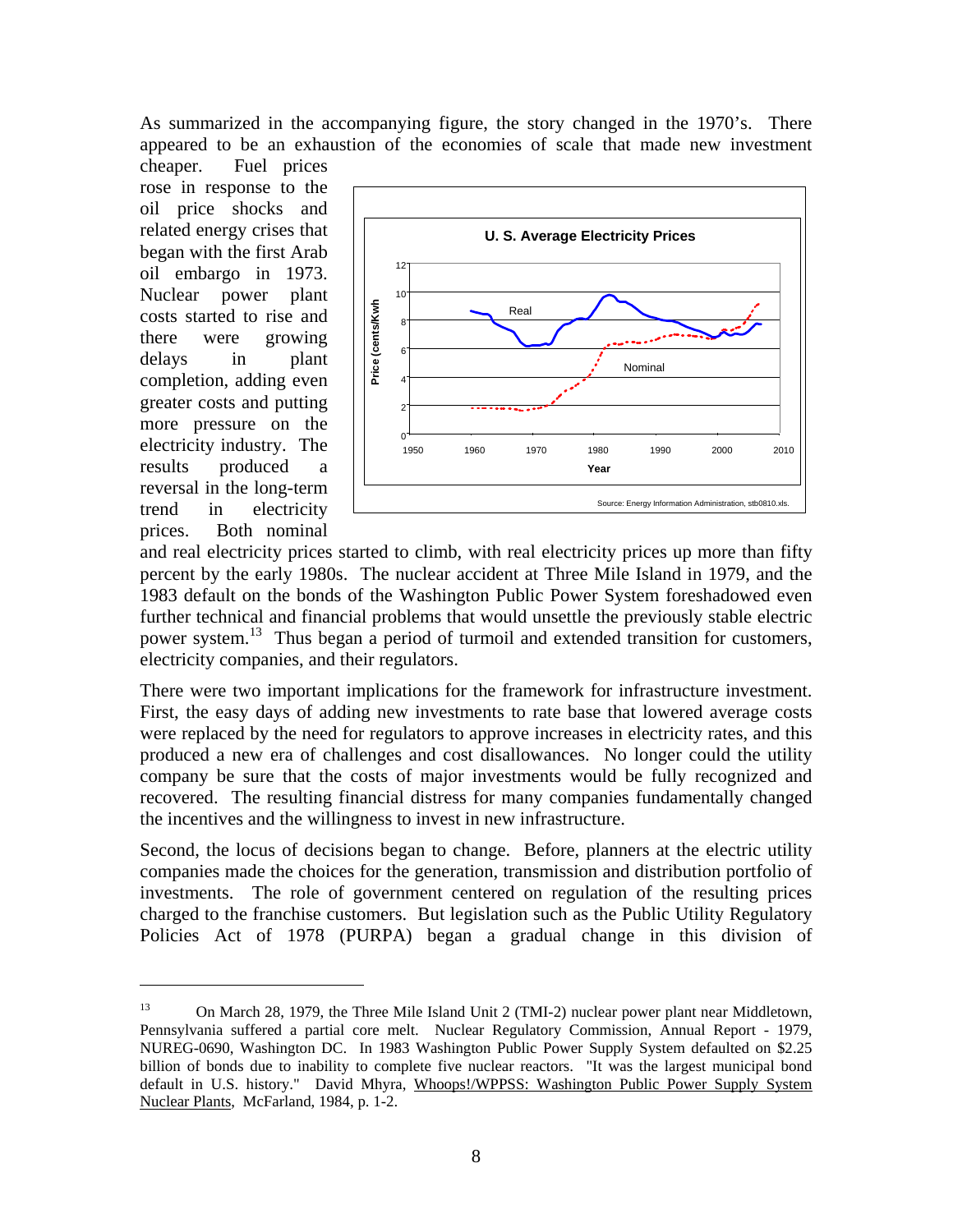As summarized in the accompanying figure, the story changed in the 1970's. There appeared to be an exhaustion of the economies of scale that made new investment

cheaper. Fuel prices rose in response to the oil price shocks and related energy crises that began with the first Arab oil embargo in 1973. Nuclear power plant costs started to rise and there were growing delays in plant completion, adding even greater costs and putting more pressure on the electricity industry. The results produced a reversal in the long-term trend in electricity prices. Both nominal

 $\overline{a}$ 



and real electricity prices started to climb, with real electricity prices up more than fifty percent by the early 1980s. The nuclear accident at Three Mile Island in 1979, and the 1983 default on the bonds of the Washington Public Power System foreshadowed even further technical and financial problems that would unsettle the previously stable electric power system.13 Thus began a period of turmoil and extended transition for customers, electricity companies, and their regulators.

There were two important implications for the framework for infrastructure investment. First, the easy days of adding new investments to rate base that lowered average costs were replaced by the need for regulators to approve increases in electricity rates, and this produced a new era of challenges and cost disallowances. No longer could the utility company be sure that the costs of major investments would be fully recognized and recovered. The resulting financial distress for many companies fundamentally changed the incentives and the willingness to invest in new infrastructure.

Second, the locus of decisions began to change. Before, planners at the electric utility companies made the choices for the generation, transmission and distribution portfolio of investments. The role of government centered on regulation of the resulting prices charged to the franchise customers. But legislation such as the Public Utility Regulatory Policies Act of 1978 (PURPA) began a gradual change in this division of

<sup>&</sup>lt;sup>13</sup> On March 28, 1979, the Three Mile Island Unit 2 (TMI-2) nuclear power plant near Middletown, Pennsylvania suffered a partial core melt. Nuclear Regulatory Commission, Annual Report - 1979, NUREG-0690, Washington DC. In 1983 Washington Public Power Supply System defaulted on \$2.25 billion of bonds due to inability to complete five nuclear reactors. "It was the largest municipal bond default in U.S. history." David Mhyra, Whoops!/WPPSS: Washington Public Power Supply System Nuclear Plants, McFarland, 1984, p. 1-2.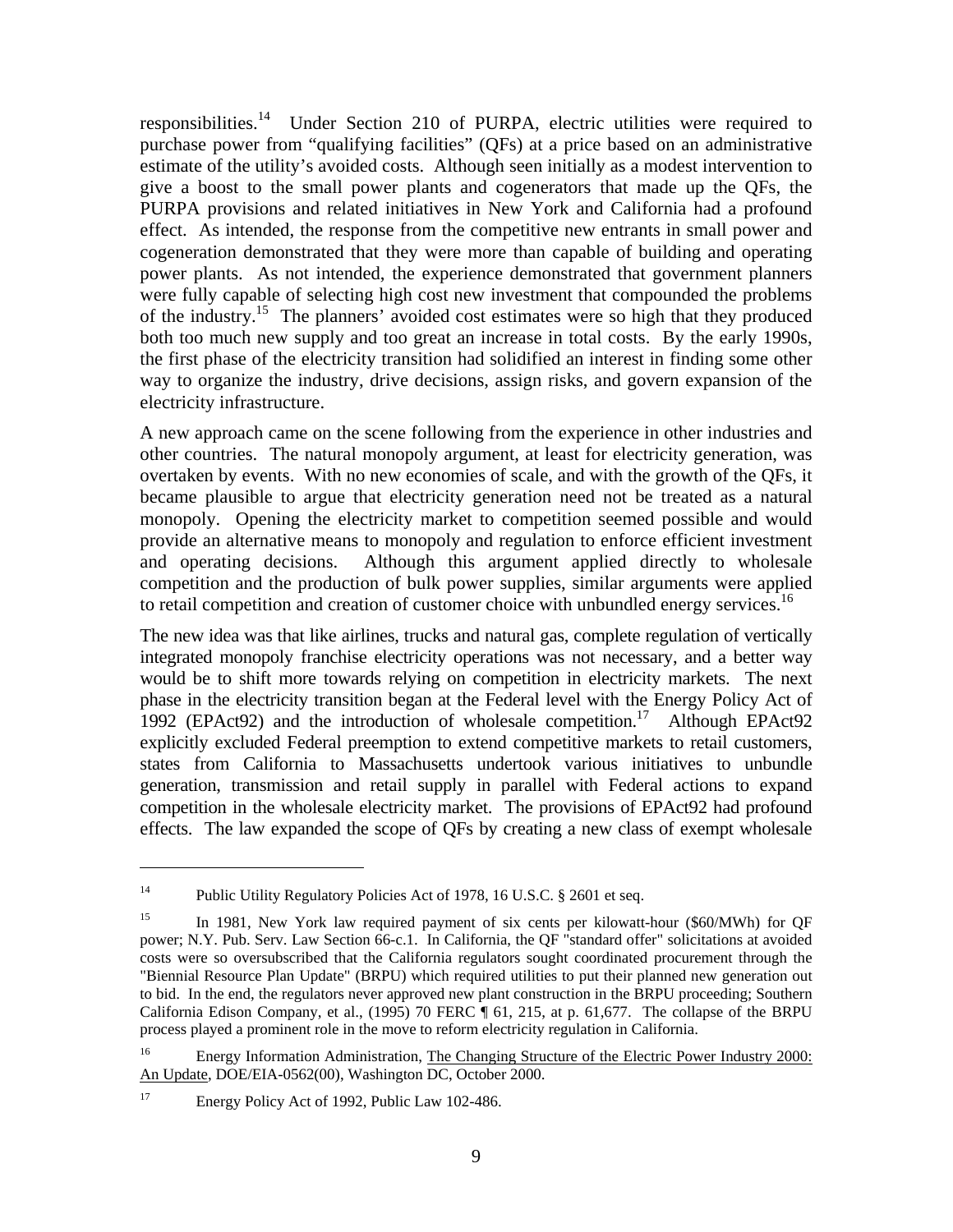responsibilities.14 Under Section 210 of PURPA, electric utilities were required to purchase power from "qualifying facilities" (QFs) at a price based on an administrative estimate of the utility's avoided costs. Although seen initially as a modest intervention to give a boost to the small power plants and cogenerators that made up the QFs, the PURPA provisions and related initiatives in New York and California had a profound effect. As intended, the response from the competitive new entrants in small power and cogeneration demonstrated that they were more than capable of building and operating power plants. As not intended, the experience demonstrated that government planners were fully capable of selecting high cost new investment that compounded the problems of the industry.15 The planners' avoided cost estimates were so high that they produced both too much new supply and too great an increase in total costs. By the early 1990s, the first phase of the electricity transition had solidified an interest in finding some other way to organize the industry, drive decisions, assign risks, and govern expansion of the electricity infrastructure.

A new approach came on the scene following from the experience in other industries and other countries. The natural monopoly argument, at least for electricity generation, was overtaken by events. With no new economies of scale, and with the growth of the QFs, it became plausible to argue that electricity generation need not be treated as a natural monopoly. Opening the electricity market to competition seemed possible and would provide an alternative means to monopoly and regulation to enforce efficient investment and operating decisions. Although this argument applied directly to wholesale competition and the production of bulk power supplies, similar arguments were applied to retail competition and creation of customer choice with unbundled energy services.<sup>16</sup>

The new idea was that like airlines, trucks and natural gas, complete regulation of vertically integrated monopoly franchise electricity operations was not necessary, and a better way would be to shift more towards relying on competition in electricity markets. The next phase in the electricity transition began at the Federal level with the Energy Policy Act of 1992 (EPAct92) and the introduction of wholesale competition.<sup>17</sup> Although EPAct92 explicitly excluded Federal preemption to extend competitive markets to retail customers, states from California to Massachusetts undertook various initiatives to unbundle generation, transmission and retail supply in parallel with Federal actions to expand competition in the wholesale electricity market. The provisions of EPAct92 had profound effects. The law expanded the scope of QFs by creating a new class of exempt wholesale

<sup>&</sup>lt;sup>14</sup> Public Utility Regulatory Policies Act of 1978, 16 U.S.C. § 2601 et seq.

<sup>&</sup>lt;sup>15</sup> In 1981, New York law required payment of six cents per kilowatt-hour (\$60/MWh) for QF power; N.Y. Pub. Serv. Law Section 66-c.1. In California, the QF "standard offer" solicitations at avoided costs were so oversubscribed that the California regulators sought coordinated procurement through the "Biennial Resource Plan Update" (BRPU) which required utilities to put their planned new generation out to bid. In the end, the regulators never approved new plant construction in the BRPU proceeding; Southern California Edison Company, et al., (1995) 70 FERC ¶ 61, 215, at p. 61,677. The collapse of the BRPU process played a prominent role in the move to reform electricity regulation in California.

<sup>&</sup>lt;sup>16</sup> Energy Information Administration, The Changing Structure of the Electric Power Industry 2000: An Update, DOE/EIA-0562(00), Washington DC, October 2000.

<sup>&</sup>lt;sup>17</sup> Energy Policy Act of 1992, Public Law 102-486.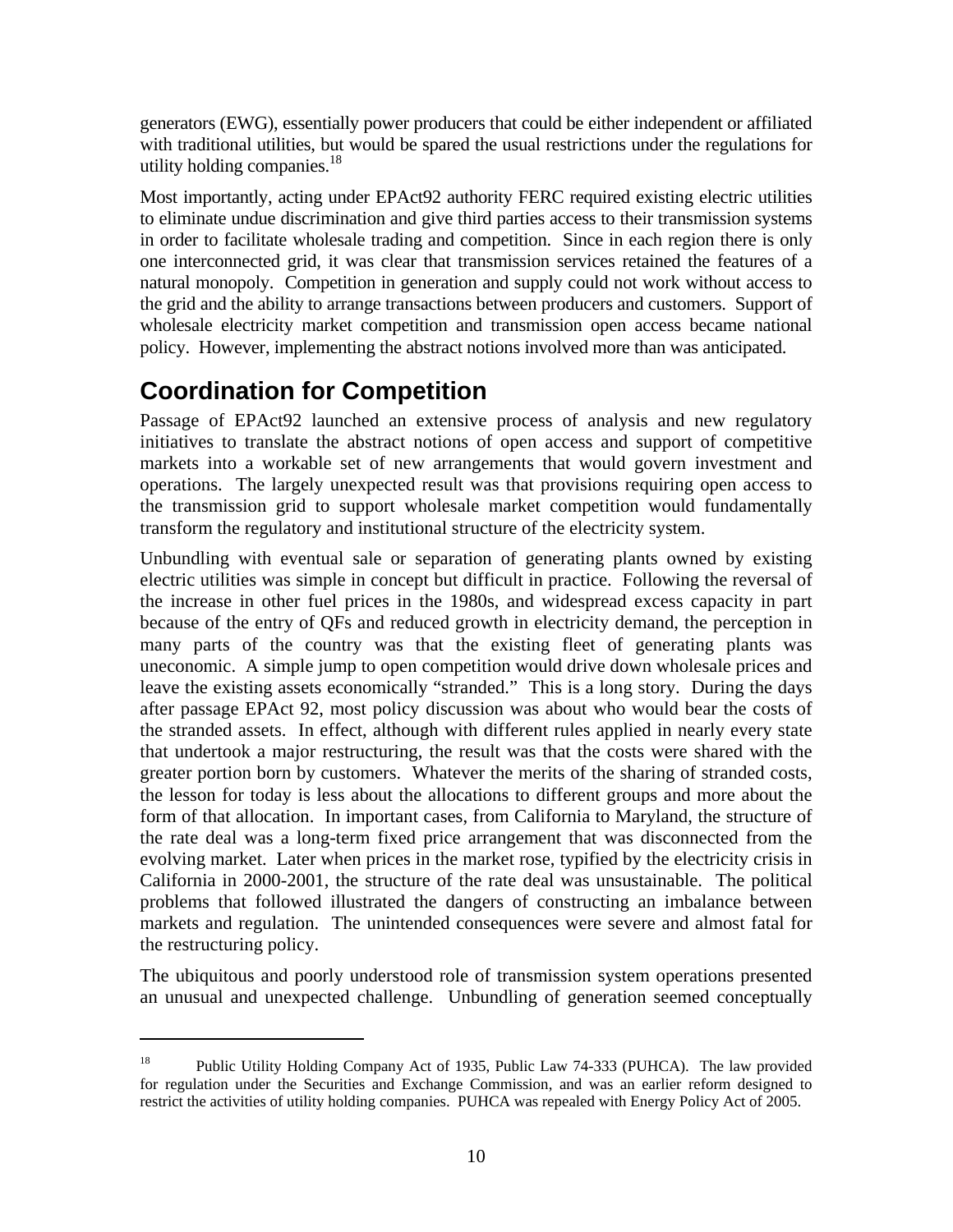generators (EWG), essentially power producers that could be either independent or affiliated with traditional utilities, but would be spared the usual restrictions under the regulations for utility holding companies.<sup>18</sup>

Most importantly, acting under EPAct92 authority FERC required existing electric utilities to eliminate undue discrimination and give third parties access to their transmission systems in order to facilitate wholesale trading and competition. Since in each region there is only one interconnected grid, it was clear that transmission services retained the features of a natural monopoly. Competition in generation and supply could not work without access to the grid and the ability to arrange transactions between producers and customers. Support of wholesale electricity market competition and transmission open access became national policy. However, implementing the abstract notions involved more than was anticipated.

# **Coordination for Competition**

 $\overline{a}$ 

Passage of EPAct92 launched an extensive process of analysis and new regulatory initiatives to translate the abstract notions of open access and support of competitive markets into a workable set of new arrangements that would govern investment and operations. The largely unexpected result was that provisions requiring open access to the transmission grid to support wholesale market competition would fundamentally transform the regulatory and institutional structure of the electricity system.

Unbundling with eventual sale or separation of generating plants owned by existing electric utilities was simple in concept but difficult in practice. Following the reversal of the increase in other fuel prices in the 1980s, and widespread excess capacity in part because of the entry of QFs and reduced growth in electricity demand, the perception in many parts of the country was that the existing fleet of generating plants was uneconomic. A simple jump to open competition would drive down wholesale prices and leave the existing assets economically "stranded." This is a long story. During the days after passage EPAct 92, most policy discussion was about who would bear the costs of the stranded assets. In effect, although with different rules applied in nearly every state that undertook a major restructuring, the result was that the costs were shared with the greater portion born by customers. Whatever the merits of the sharing of stranded costs, the lesson for today is less about the allocations to different groups and more about the form of that allocation. In important cases, from California to Maryland, the structure of the rate deal was a long-term fixed price arrangement that was disconnected from the evolving market. Later when prices in the market rose, typified by the electricity crisis in California in 2000-2001, the structure of the rate deal was unsustainable. The political problems that followed illustrated the dangers of constructing an imbalance between markets and regulation. The unintended consequences were severe and almost fatal for the restructuring policy.

The ubiquitous and poorly understood role of transmission system operations presented an unusual and unexpected challenge. Unbundling of generation seemed conceptually

<sup>&</sup>lt;sup>18</sup> Public Utility Holding Company Act of 1935, Public Law 74-333 (PUHCA). The law provided for regulation under the Securities and Exchange Commission, and was an earlier reform designed to restrict the activities of utility holding companies. PUHCA was repealed with Energy Policy Act of 2005.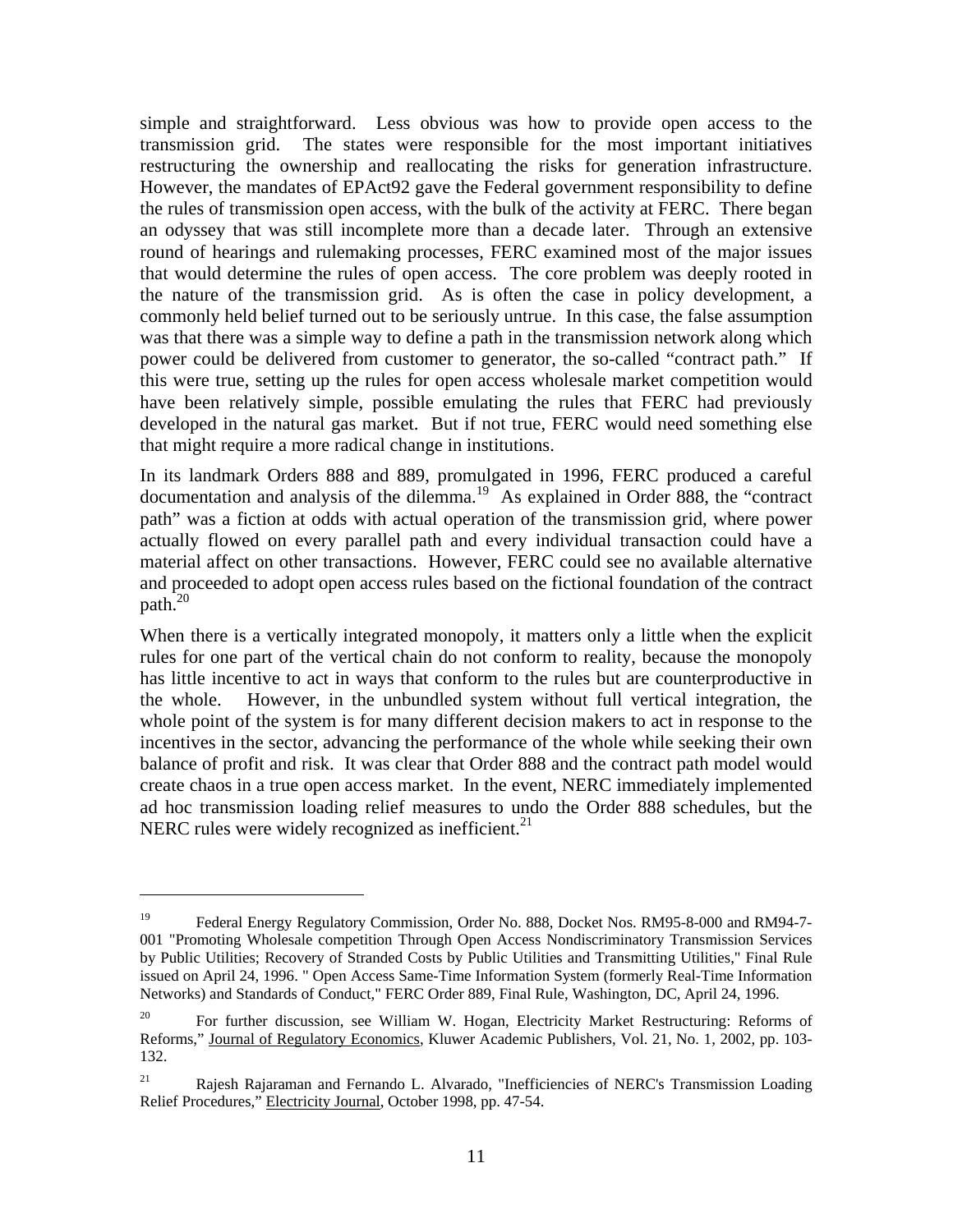simple and straightforward. Less obvious was how to provide open access to the transmission grid. The states were responsible for the most important initiatives restructuring the ownership and reallocating the risks for generation infrastructure. However, the mandates of EPAct92 gave the Federal government responsibility to define the rules of transmission open access, with the bulk of the activity at FERC. There began an odyssey that was still incomplete more than a decade later. Through an extensive round of hearings and rulemaking processes, FERC examined most of the major issues that would determine the rules of open access. The core problem was deeply rooted in the nature of the transmission grid. As is often the case in policy development, a commonly held belief turned out to be seriously untrue. In this case, the false assumption was that there was a simple way to define a path in the transmission network along which power could be delivered from customer to generator, the so-called "contract path." If this were true, setting up the rules for open access wholesale market competition would have been relatively simple, possible emulating the rules that FERC had previously developed in the natural gas market. But if not true, FERC would need something else that might require a more radical change in institutions.

In its landmark Orders 888 and 889, promulgated in 1996, FERC produced a careful documentation and analysis of the dilemma.<sup>19</sup> As explained in Order 888, the "contract" path" was a fiction at odds with actual operation of the transmission grid, where power actually flowed on every parallel path and every individual transaction could have a material affect on other transactions. However, FERC could see no available alternative and proceeded to adopt open access rules based on the fictional foundation of the contract path.<sup>20</sup>

When there is a vertically integrated monopoly, it matters only a little when the explicit rules for one part of the vertical chain do not conform to reality, because the monopoly has little incentive to act in ways that conform to the rules but are counterproductive in the whole. However, in the unbundled system without full vertical integration, the whole point of the system is for many different decision makers to act in response to the incentives in the sector, advancing the performance of the whole while seeking their own balance of profit and risk. It was clear that Order 888 and the contract path model would create chaos in a true open access market. In the event, NERC immediately implemented ad hoc transmission loading relief measures to undo the Order 888 schedules, but the NERC rules were widely recognized as inefficient. $21$ 

<sup>&</sup>lt;sup>19</sup> Federal Energy Regulatory Commission, Order No. 888, Docket Nos. RM95-8-000 and RM94-7-001 "Promoting Wholesale competition Through Open Access Nondiscriminatory Transmission Services by Public Utilities; Recovery of Stranded Costs by Public Utilities and Transmitting Utilities," Final Rule issued on April 24, 1996. " Open Access Same-Time Information System (formerly Real-Time Information Networks) and Standards of Conduct," FERC Order 889, Final Rule, Washington, DC, April 24, 1996.

<sup>&</sup>lt;sup>20</sup> For further discussion, see William W. Hogan, Electricity Market Restructuring: Reforms of Reforms," Journal of Regulatory Economics, Kluwer Academic Publishers, Vol. 21, No. 1, 2002, pp. 103- 132.

<sup>21</sup> Rajesh Rajaraman and Fernando L. Alvarado, "Inefficiencies of NERC's Transmission Loading Relief Procedures," Electricity Journal, October 1998, pp. 47-54.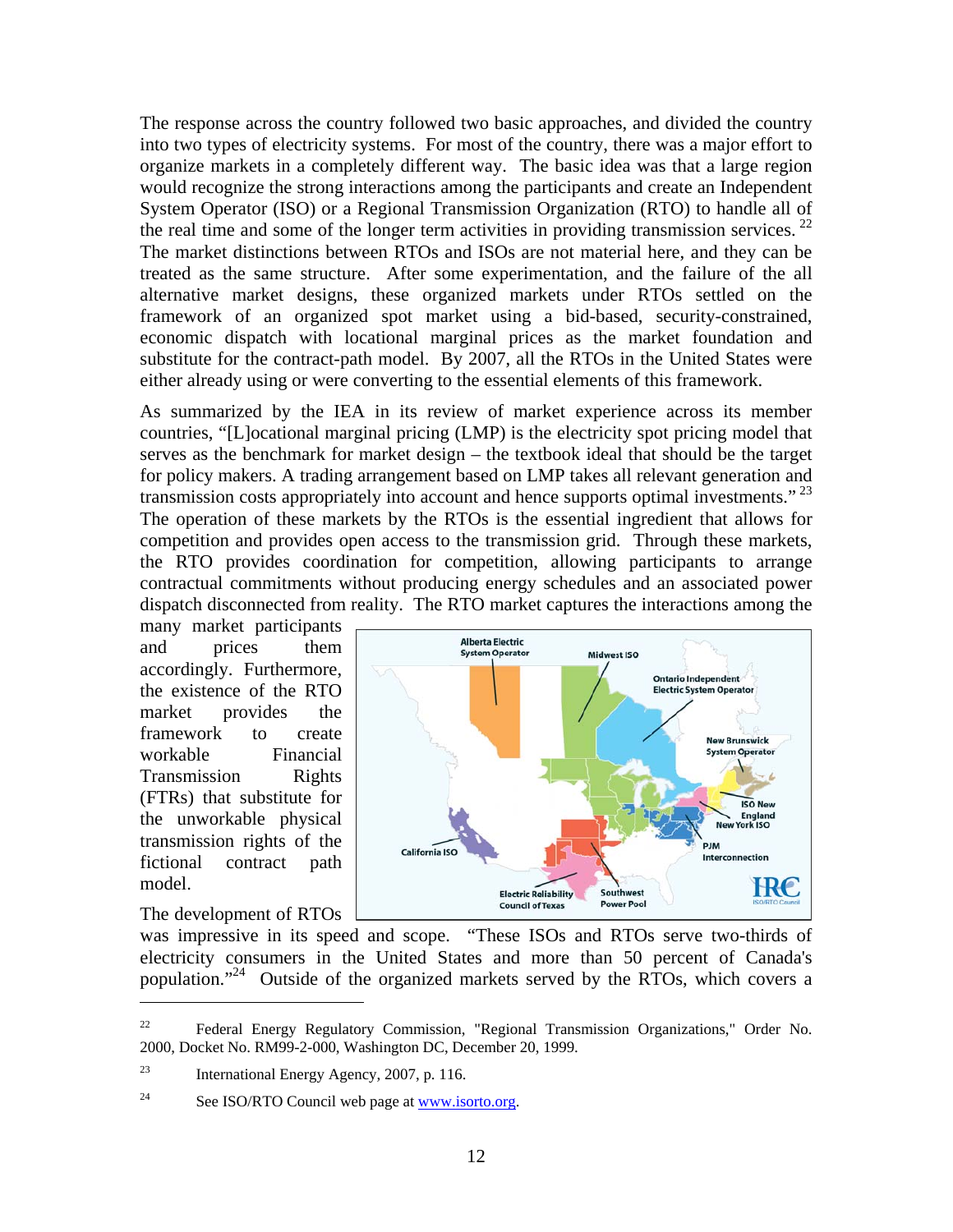The response across the country followed two basic approaches, and divided the country into two types of electricity systems. For most of the country, there was a major effort to organize markets in a completely different way. The basic idea was that a large region would recognize the strong interactions among the participants and create an Independent System Operator (ISO) or a Regional Transmission Organization (RTO) to handle all of the real time and some of the longer term activities in providing transmission services.<sup>22</sup> The market distinctions between RTOs and ISOs are not material here, and they can be treated as the same structure. After some experimentation, and the failure of the all alternative market designs, these organized markets under RTOs settled on the framework of an organized spot market using a bid-based, security-constrained, economic dispatch with locational marginal prices as the market foundation and substitute for the contract-path model. By 2007, all the RTOs in the United States were either already using or were converting to the essential elements of this framework.

As summarized by the IEA in its review of market experience across its member countries, "[L]ocational marginal pricing (LMP) is the electricity spot pricing model that serves as the benchmark for market design – the textbook ideal that should be the target for policy makers. A trading arrangement based on LMP takes all relevant generation and transmission costs appropriately into account and hence supports optimal investments."<sup>23</sup> The operation of these markets by the RTOs is the essential ingredient that allows for competition and provides open access to the transmission grid. Through these markets, the RTO provides coordination for competition, allowing participants to arrange contractual commitments without producing energy schedules and an associated power dispatch disconnected from reality. The RTO market captures the interactions among the

many market participants and prices them accordingly. Furthermore, the existence of the RTO market provides the framework to create workable Financial Transmission Rights (FTRs) that substitute for the unworkable physical transmission rights of the fictional contract path model.

The development of RTOs

 $\overline{a}$ 



was impressive in its speed and scope. "These ISOs and RTOs serve two-thirds of electricity consumers in the United States and more than 50 percent of Canada's population."<sup>24</sup> Outside of the organized markets served by the RTOs, which covers a

 $22$  Federal Energy Regulatory Commission, "Regional Transmission Organizations," Order No. 2000, Docket No. RM99-2-000, Washington DC, December 20, 1999.

<sup>23</sup> International Energy Agency, 2007, p. 116.

 $24$  See ISO/RTO Council web page at www.isorto.org.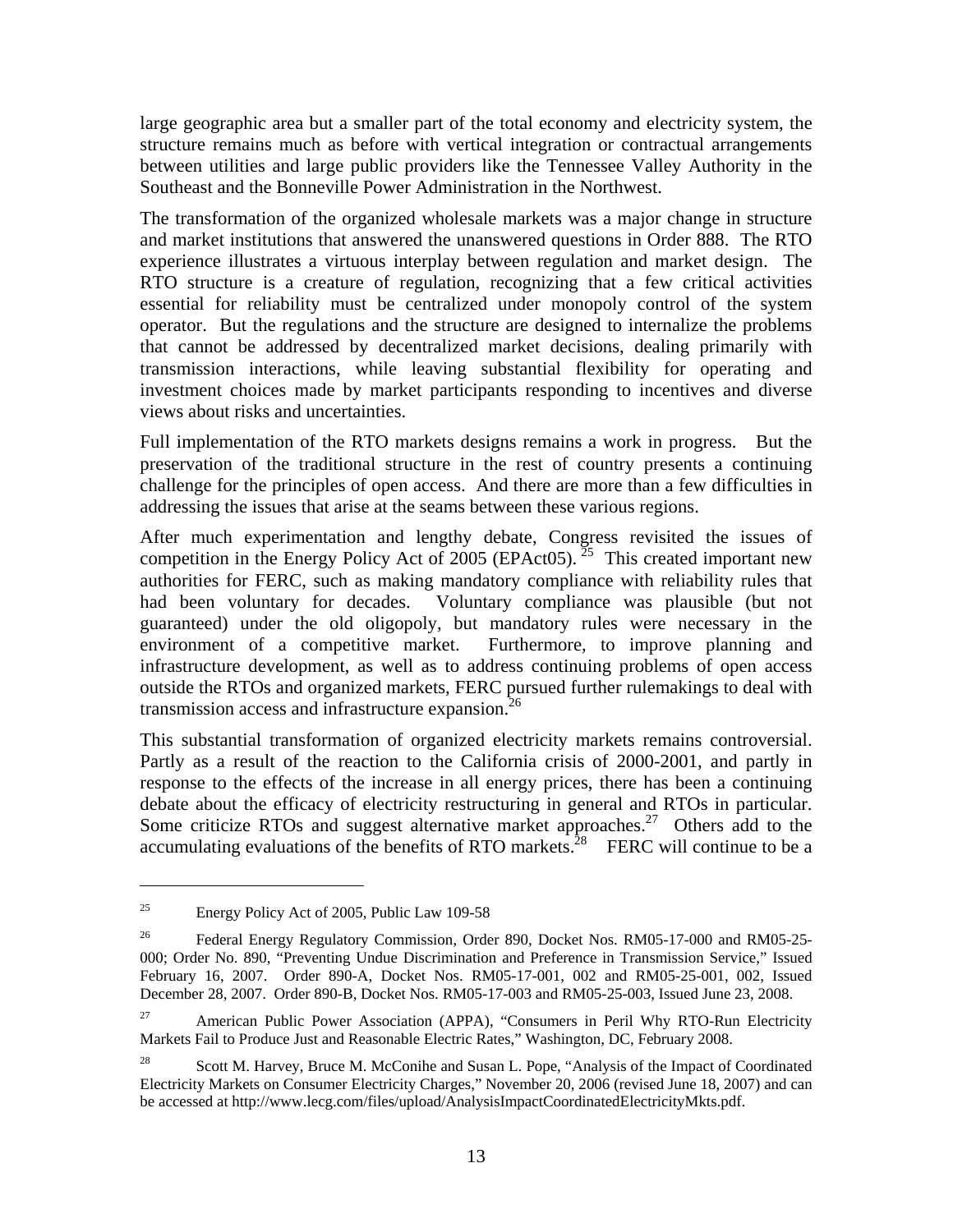large geographic area but a smaller part of the total economy and electricity system, the structure remains much as before with vertical integration or contractual arrangements between utilities and large public providers like the Tennessee Valley Authority in the Southeast and the Bonneville Power Administration in the Northwest.

The transformation of the organized wholesale markets was a major change in structure and market institutions that answered the unanswered questions in Order 888. The RTO experience illustrates a virtuous interplay between regulation and market design. The RTO structure is a creature of regulation, recognizing that a few critical activities essential for reliability must be centralized under monopoly control of the system operator. But the regulations and the structure are designed to internalize the problems that cannot be addressed by decentralized market decisions, dealing primarily with transmission interactions, while leaving substantial flexibility for operating and investment choices made by market participants responding to incentives and diverse views about risks and uncertainties.

Full implementation of the RTO markets designs remains a work in progress. But the preservation of the traditional structure in the rest of country presents a continuing challenge for the principles of open access. And there are more than a few difficulties in addressing the issues that arise at the seams between these various regions.

After much experimentation and lengthy debate, Congress revisited the issues of competition in the Energy Policy Act of 2005 (EPAct05). <sup>25</sup> This created important new authorities for FERC, such as making mandatory compliance with reliability rules that had been voluntary for decades. Voluntary compliance was plausible (but not guaranteed) under the old oligopoly, but mandatory rules were necessary in the environment of a competitive market. Furthermore, to improve planning and infrastructure development, as well as to address continuing problems of open access outside the RTOs and organized markets, FERC pursued further rulemakings to deal with transmission access and infrastructure expansion.<sup>26</sup>

This substantial transformation of organized electricity markets remains controversial. Partly as a result of the reaction to the California crisis of 2000-2001, and partly in response to the effects of the increase in all energy prices, there has been a continuing debate about the efficacy of electricity restructuring in general and RTOs in particular. Some criticize RTOs and suggest alternative market approaches.<sup>27</sup> Others add to the accumulating evaluations of the benefits of RTO markets.<sup>28</sup> FERC will continue to be a

<sup>&</sup>lt;sup>25</sup> Energy Policy Act of 2005, Public Law 109-58

<sup>&</sup>lt;sup>26</sup> Federal Energy Regulatory Commission, Order 890, Docket Nos. RM05-17-000 and RM05-25-000; Order No. 890, "Preventing Undue Discrimination and Preference in Transmission Service," Issued February 16, 2007. Order 890-A, Docket Nos. RM05-17-001, 002 and RM05-25-001, 002, Issued December 28, 2007. Order 890-B, Docket Nos. RM05-17-003 and RM05-25-003, Issued June 23, 2008.

<sup>&</sup>lt;sup>27</sup> American Public Power Association (APPA), "Consumers in Peril Why RTO-Run Electricity Markets Fail to Produce Just and Reasonable Electric Rates," Washington, DC, February 2008.

<sup>&</sup>lt;sup>28</sup> Scott M. Harvey, Bruce M. McConihe and Susan L. Pope, "Analysis of the Impact of Coordinated Electricity Markets on Consumer Electricity Charges," November 20, 2006 (revised June 18, 2007) and can be accessed at http://www.lecg.com/files/upload/AnalysisImpactCoordinatedElectricityMkts.pdf.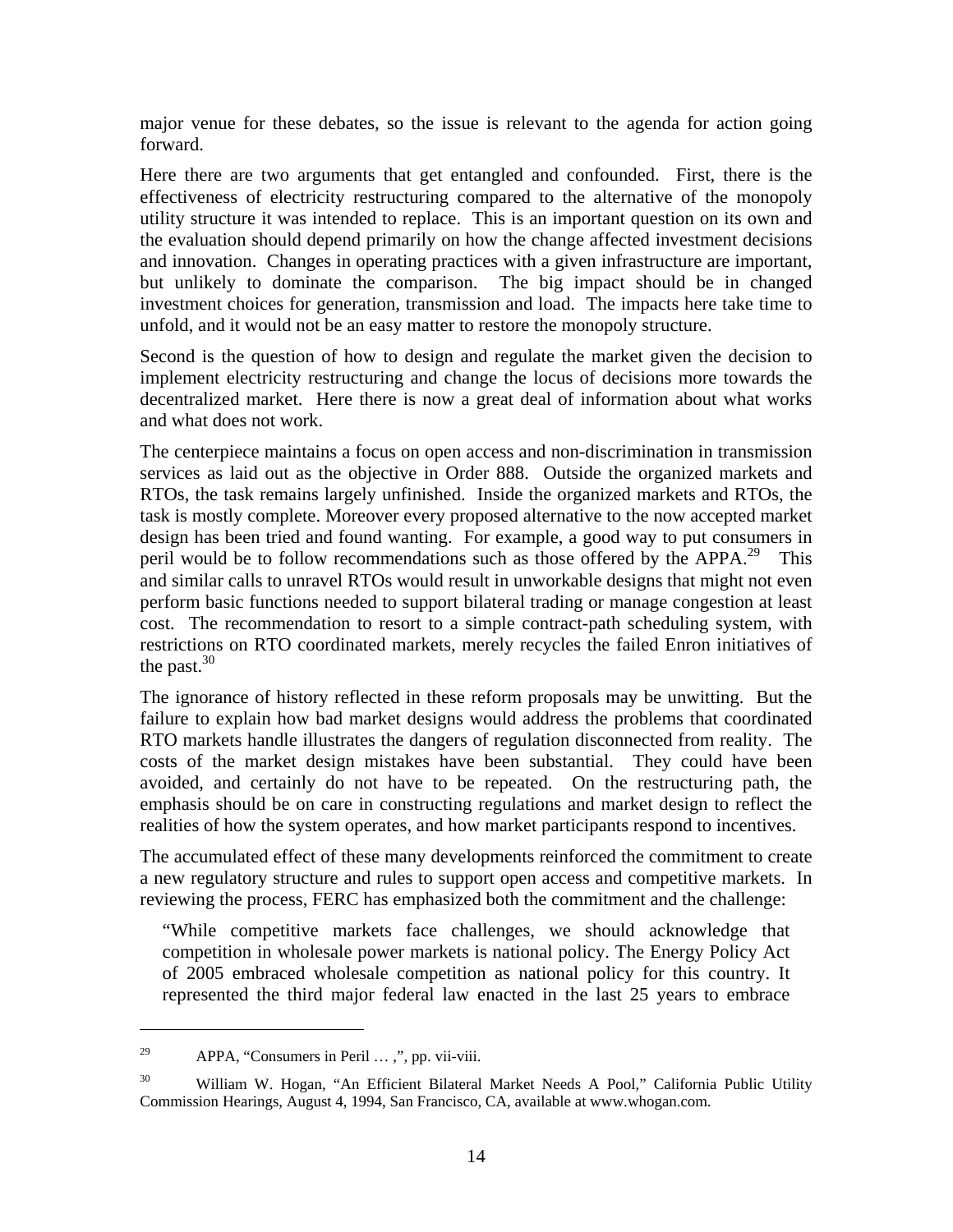major venue for these debates, so the issue is relevant to the agenda for action going forward.

Here there are two arguments that get entangled and confounded. First, there is the effectiveness of electricity restructuring compared to the alternative of the monopoly utility structure it was intended to replace. This is an important question on its own and the evaluation should depend primarily on how the change affected investment decisions and innovation. Changes in operating practices with a given infrastructure are important, but unlikely to dominate the comparison. The big impact should be in changed investment choices for generation, transmission and load. The impacts here take time to unfold, and it would not be an easy matter to restore the monopoly structure.

Second is the question of how to design and regulate the market given the decision to implement electricity restructuring and change the locus of decisions more towards the decentralized market. Here there is now a great deal of information about what works and what does not work.

The centerpiece maintains a focus on open access and non-discrimination in transmission services as laid out as the objective in Order 888. Outside the organized markets and RTOs, the task remains largely unfinished. Inside the organized markets and RTOs, the task is mostly complete. Moreover every proposed alternative to the now accepted market design has been tried and found wanting. For example, a good way to put consumers in peril would be to follow recommendations such as those offered by the APPA.<sup>29</sup> This and similar calls to unravel RTOs would result in unworkable designs that might not even perform basic functions needed to support bilateral trading or manage congestion at least cost. The recommendation to resort to a simple contract-path scheduling system, with restrictions on RTO coordinated markets, merely recycles the failed Enron initiatives of the past.  $30<sup>30</sup>$ 

The ignorance of history reflected in these reform proposals may be unwitting. But the failure to explain how bad market designs would address the problems that coordinated RTO markets handle illustrates the dangers of regulation disconnected from reality. The costs of the market design mistakes have been substantial. They could have been avoided, and certainly do not have to be repeated. On the restructuring path, the emphasis should be on care in constructing regulations and market design to reflect the realities of how the system operates, and how market participants respond to incentives.

The accumulated effect of these many developments reinforced the commitment to create a new regulatory structure and rules to support open access and competitive markets. In reviewing the process, FERC has emphasized both the commitment and the challenge:

"While competitive markets face challenges, we should acknowledge that competition in wholesale power markets is national policy. The Energy Policy Act of 2005 embraced wholesale competition as national policy for this country. It represented the third major federal law enacted in the last 25 years to embrace

 $^{29}$  APPA, "Consumers in Peril ...,", pp. vii-viii.

<sup>&</sup>lt;sup>30</sup> William W. Hogan, "An Efficient Bilateral Market Needs A Pool," California Public Utility Commission Hearings, August 4, 1994, San Francisco, CA, available at www.whogan.com.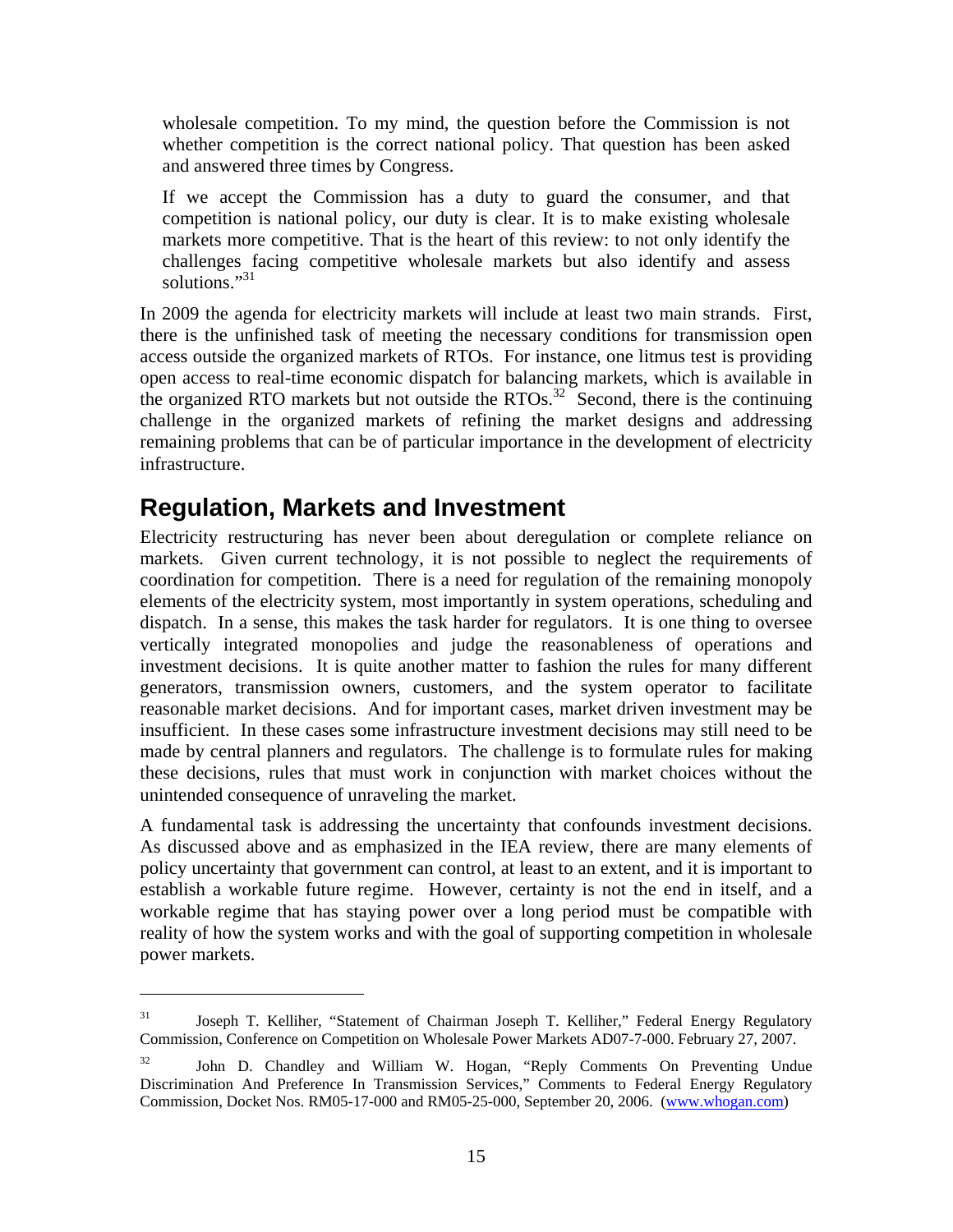wholesale competition. To my mind, the question before the Commission is not whether competition is the correct national policy. That question has been asked and answered three times by Congress.

If we accept the Commission has a duty to guard the consumer, and that competition is national policy, our duty is clear. It is to make existing wholesale markets more competitive. That is the heart of this review: to not only identify the challenges facing competitive wholesale markets but also identify and assess solutions."<sup>31</sup>

In 2009 the agenda for electricity markets will include at least two main strands. First, there is the unfinished task of meeting the necessary conditions for transmission open access outside the organized markets of RTOs. For instance, one litmus test is providing open access to real-time economic dispatch for balancing markets, which is available in the organized RTO markets but not outside the RTOs.<sup>32</sup> Second, there is the continuing challenge in the organized markets of refining the market designs and addressing remaining problems that can be of particular importance in the development of electricity infrastructure.

## **Regulation, Markets and Investment**

 $\overline{a}$ 

Electricity restructuring has never been about deregulation or complete reliance on markets. Given current technology, it is not possible to neglect the requirements of coordination for competition. There is a need for regulation of the remaining monopoly elements of the electricity system, most importantly in system operations, scheduling and dispatch. In a sense, this makes the task harder for regulators. It is one thing to oversee vertically integrated monopolies and judge the reasonableness of operations and investment decisions. It is quite another matter to fashion the rules for many different generators, transmission owners, customers, and the system operator to facilitate reasonable market decisions. And for important cases, market driven investment may be insufficient. In these cases some infrastructure investment decisions may still need to be made by central planners and regulators. The challenge is to formulate rules for making these decisions, rules that must work in conjunction with market choices without the unintended consequence of unraveling the market.

A fundamental task is addressing the uncertainty that confounds investment decisions. As discussed above and as emphasized in the IEA review, there are many elements of policy uncertainty that government can control, at least to an extent, and it is important to establish a workable future regime. However, certainty is not the end in itself, and a workable regime that has staying power over a long period must be compatible with reality of how the system works and with the goal of supporting competition in wholesale power markets.

<sup>&</sup>lt;sup>31</sup> Joseph T. Kelliher, "Statement of Chairman Joseph T. Kelliher," Federal Energy Regulatory Commission, Conference on Competition on Wholesale Power Markets AD07-7-000. February 27, 2007.

<sup>&</sup>lt;sup>32</sup> John D. Chandley and William W. Hogan, "Reply Comments On Preventing Undue Discrimination And Preference In Transmission Services," Comments to Federal Energy Regulatory Commission, Docket Nos. RM05-17-000 and RM05-25-000, September 20, 2006. (www.whogan.com)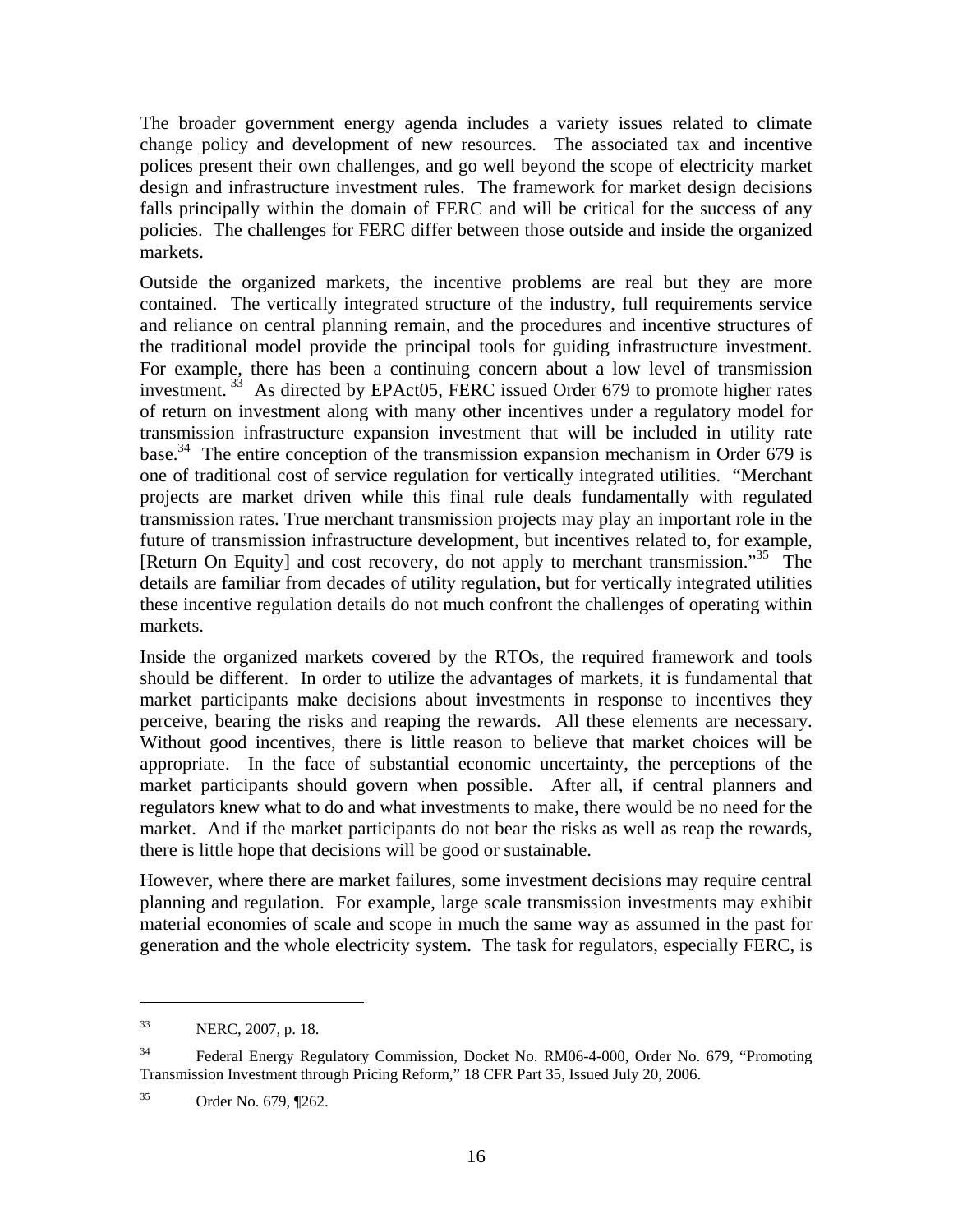The broader government energy agenda includes a variety issues related to climate change policy and development of new resources. The associated tax and incentive polices present their own challenges, and go well beyond the scope of electricity market design and infrastructure investment rules. The framework for market design decisions falls principally within the domain of FERC and will be critical for the success of any policies. The challenges for FERC differ between those outside and inside the organized markets.

Outside the organized markets, the incentive problems are real but they are more contained. The vertically integrated structure of the industry, full requirements service and reliance on central planning remain, and the procedures and incentive structures of the traditional model provide the principal tools for guiding infrastructure investment. For example, there has been a continuing concern about a low level of transmission investment. 33 As directed by EPAct05, FERC issued Order 679 to promote higher rates of return on investment along with many other incentives under a regulatory model for transmission infrastructure expansion investment that will be included in utility rate base.<sup>34</sup> The entire conception of the transmission expansion mechanism in Order 679 is one of traditional cost of service regulation for vertically integrated utilities. "Merchant projects are market driven while this final rule deals fundamentally with regulated transmission rates. True merchant transmission projects may play an important role in the future of transmission infrastructure development, but incentives related to, for example, [Return On Equity] and cost recovery, do not apply to merchant transmission."<sup>35</sup> The details are familiar from decades of utility regulation, but for vertically integrated utilities these incentive regulation details do not much confront the challenges of operating within markets.

Inside the organized markets covered by the RTOs, the required framework and tools should be different. In order to utilize the advantages of markets, it is fundamental that market participants make decisions about investments in response to incentives they perceive, bearing the risks and reaping the rewards. All these elements are necessary. Without good incentives, there is little reason to believe that market choices will be appropriate. In the face of substantial economic uncertainty, the perceptions of the market participants should govern when possible. After all, if central planners and regulators knew what to do and what investments to make, there would be no need for the market. And if the market participants do not bear the risks as well as reap the rewards, there is little hope that decisions will be good or sustainable.

However, where there are market failures, some investment decisions may require central planning and regulation. For example, large scale transmission investments may exhibit material economies of scale and scope in much the same way as assumed in the past for generation and the whole electricity system. The task for regulators, especially FERC, is

<u>.</u>

<sup>33</sup> NERC, 2007, p. 18.

<sup>&</sup>lt;sup>34</sup> Federal Energy Regulatory Commission, Docket No. RM06-4-000, Order No. 679, "Promoting Transmission Investment through Pricing Reform," 18 CFR Part 35, Issued July 20, 2006.

<sup>35</sup> Order No. 679, ¶262.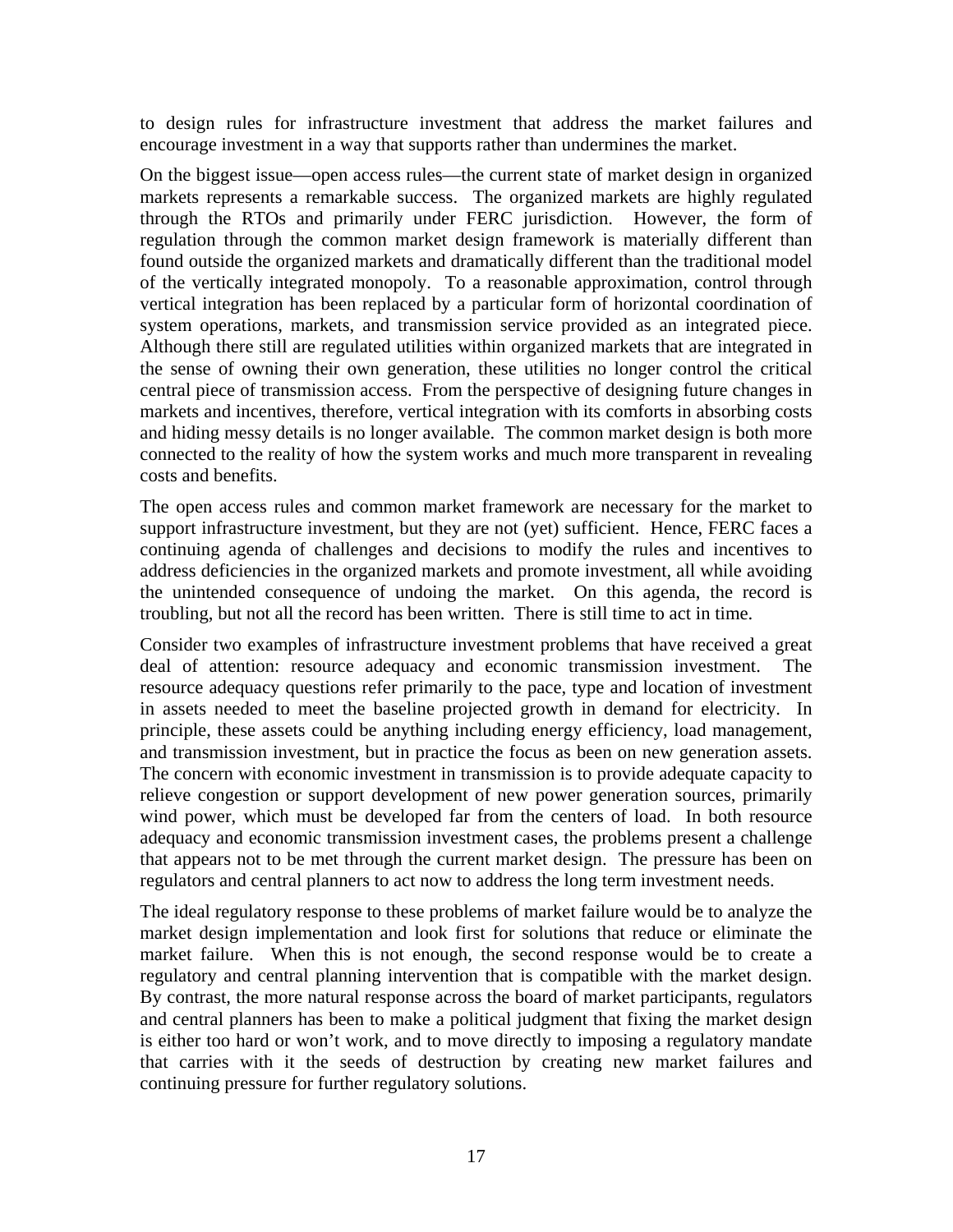to design rules for infrastructure investment that address the market failures and encourage investment in a way that supports rather than undermines the market.

On the biggest issue—open access rules—the current state of market design in organized markets represents a remarkable success. The organized markets are highly regulated through the RTOs and primarily under FERC jurisdiction. However, the form of regulation through the common market design framework is materially different than found outside the organized markets and dramatically different than the traditional model of the vertically integrated monopoly. To a reasonable approximation, control through vertical integration has been replaced by a particular form of horizontal coordination of system operations, markets, and transmission service provided as an integrated piece. Although there still are regulated utilities within organized markets that are integrated in the sense of owning their own generation, these utilities no longer control the critical central piece of transmission access. From the perspective of designing future changes in markets and incentives, therefore, vertical integration with its comforts in absorbing costs and hiding messy details is no longer available. The common market design is both more connected to the reality of how the system works and much more transparent in revealing costs and benefits.

The open access rules and common market framework are necessary for the market to support infrastructure investment, but they are not (yet) sufficient. Hence, FERC faces a continuing agenda of challenges and decisions to modify the rules and incentives to address deficiencies in the organized markets and promote investment, all while avoiding the unintended consequence of undoing the market. On this agenda, the record is troubling, but not all the record has been written. There is still time to act in time.

Consider two examples of infrastructure investment problems that have received a great deal of attention: resource adequacy and economic transmission investment. The resource adequacy questions refer primarily to the pace, type and location of investment in assets needed to meet the baseline projected growth in demand for electricity. In principle, these assets could be anything including energy efficiency, load management, and transmission investment, but in practice the focus as been on new generation assets. The concern with economic investment in transmission is to provide adequate capacity to relieve congestion or support development of new power generation sources, primarily wind power, which must be developed far from the centers of load. In both resource adequacy and economic transmission investment cases, the problems present a challenge that appears not to be met through the current market design. The pressure has been on regulators and central planners to act now to address the long term investment needs.

The ideal regulatory response to these problems of market failure would be to analyze the market design implementation and look first for solutions that reduce or eliminate the market failure. When this is not enough, the second response would be to create a regulatory and central planning intervention that is compatible with the market design. By contrast, the more natural response across the board of market participants, regulators and central planners has been to make a political judgment that fixing the market design is either too hard or won't work, and to move directly to imposing a regulatory mandate that carries with it the seeds of destruction by creating new market failures and continuing pressure for further regulatory solutions.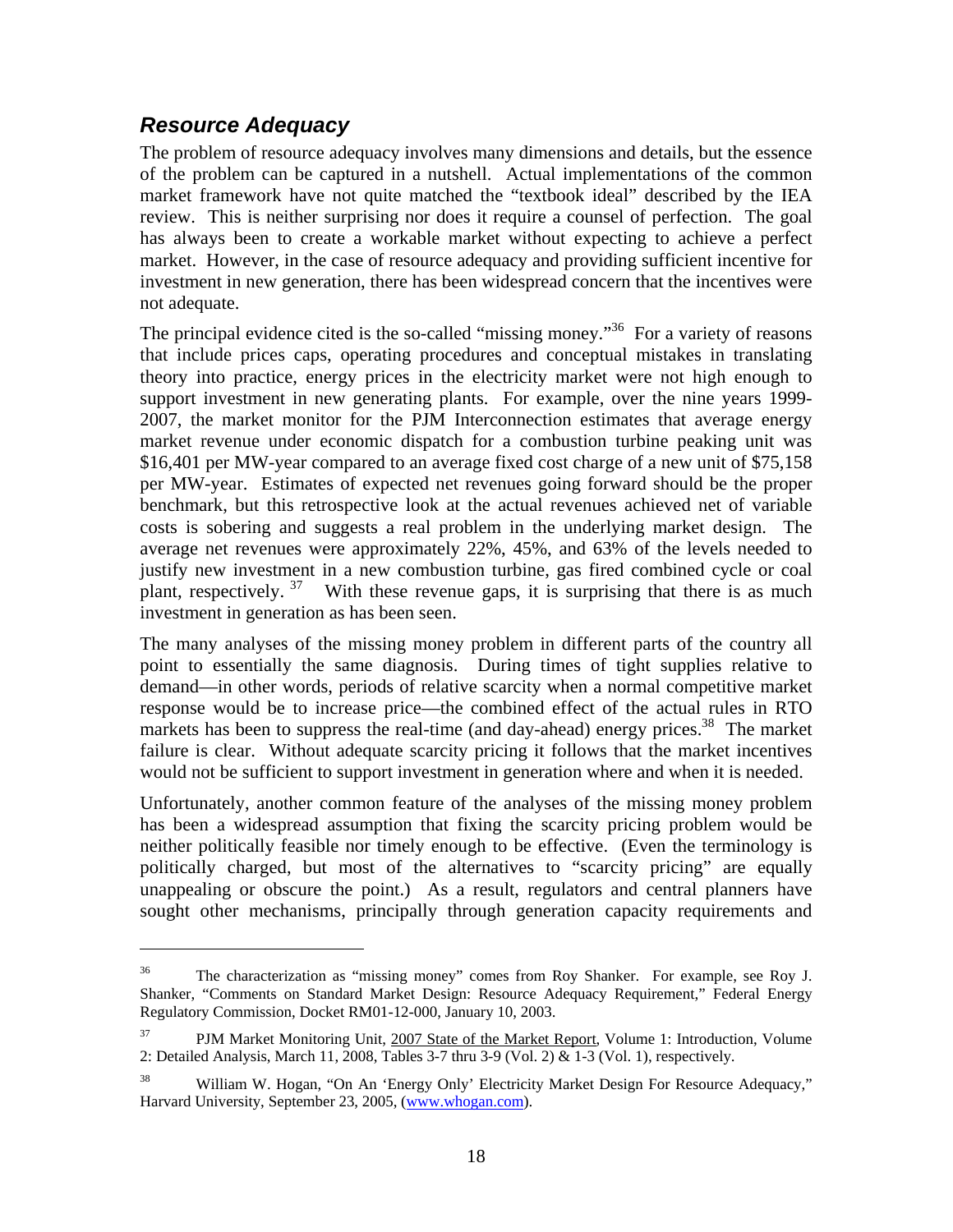#### *Resource Adequacy*

 $\overline{a}$ 

The problem of resource adequacy involves many dimensions and details, but the essence of the problem can be captured in a nutshell. Actual implementations of the common market framework have not quite matched the "textbook ideal" described by the IEA review. This is neither surprising nor does it require a counsel of perfection. The goal has always been to create a workable market without expecting to achieve a perfect market. However, in the case of resource adequacy and providing sufficient incentive for investment in new generation, there has been widespread concern that the incentives were not adequate.

The principal evidence cited is the so-called "missing money."<sup>36</sup> For a variety of reasons that include prices caps, operating procedures and conceptual mistakes in translating theory into practice, energy prices in the electricity market were not high enough to support investment in new generating plants. For example, over the nine years 1999- 2007, the market monitor for the PJM Interconnection estimates that average energy market revenue under economic dispatch for a combustion turbine peaking unit was \$16,401 per MW-year compared to an average fixed cost charge of a new unit of \$75,158 per MW-year. Estimates of expected net revenues going forward should be the proper benchmark, but this retrospective look at the actual revenues achieved net of variable costs is sobering and suggests a real problem in the underlying market design. The average net revenues were approximately 22%, 45%, and 63% of the levels needed to justify new investment in a new combustion turbine, gas fired combined cycle or coal plant, respectively.  $37$  With these revenue gaps, it is surprising that there is as much investment in generation as has been seen.

The many analyses of the missing money problem in different parts of the country all point to essentially the same diagnosis. During times of tight supplies relative to demand—in other words, periods of relative scarcity when a normal competitive market response would be to increase price—the combined effect of the actual rules in RTO markets has been to suppress the real-time (and day-ahead) energy prices.<sup>38</sup> The market failure is clear. Without adequate scarcity pricing it follows that the market incentives would not be sufficient to support investment in generation where and when it is needed.

Unfortunately, another common feature of the analyses of the missing money problem has been a widespread assumption that fixing the scarcity pricing problem would be neither politically feasible nor timely enough to be effective. (Even the terminology is politically charged, but most of the alternatives to "scarcity pricing" are equally unappealing or obscure the point.) As a result, regulators and central planners have sought other mechanisms, principally through generation capacity requirements and

<sup>&</sup>lt;sup>36</sup> The characterization as "missing money" comes from Roy Shanker. For example, see Roy J. Shanker, "Comments on Standard Market Design: Resource Adequacy Requirement," Federal Energy Regulatory Commission, Docket RM01-12-000, January 10, 2003.

<sup>&</sup>lt;sup>37</sup> PJM Market Monitoring Unit, 2007 State of the Market Report, Volume 1: Introduction, Volume 2: Detailed Analysis, March 11, 2008, Tables 3-7 thru 3-9 (Vol. 2) & 1-3 (Vol. 1), respectively.

<sup>&</sup>lt;sup>38</sup> William W. Hogan, "On An 'Energy Only' Electricity Market Design For Resource Adequacy," Harvard University, September 23, 2005, (www.whogan.com).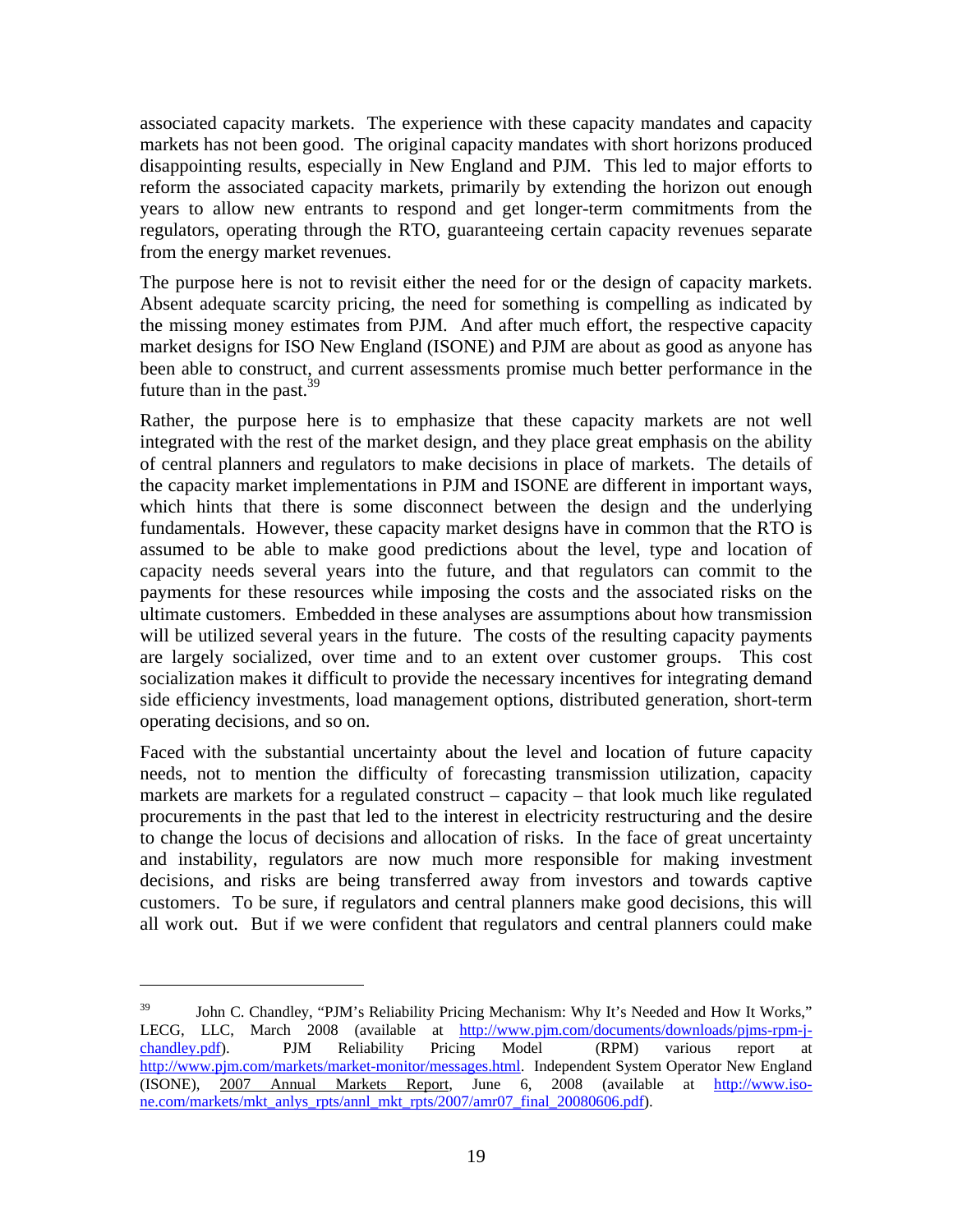associated capacity markets. The experience with these capacity mandates and capacity markets has not been good. The original capacity mandates with short horizons produced disappointing results, especially in New England and PJM. This led to major efforts to reform the associated capacity markets, primarily by extending the horizon out enough years to allow new entrants to respond and get longer-term commitments from the regulators, operating through the RTO, guaranteeing certain capacity revenues separate from the energy market revenues.

The purpose here is not to revisit either the need for or the design of capacity markets. Absent adequate scarcity pricing, the need for something is compelling as indicated by the missing money estimates from PJM. And after much effort, the respective capacity market designs for ISO New England (ISONE) and PJM are about as good as anyone has been able to construct, and current assessments promise much better performance in the future than in the past. $39$ 

Rather, the purpose here is to emphasize that these capacity markets are not well integrated with the rest of the market design, and they place great emphasis on the ability of central planners and regulators to make decisions in place of markets. The details of the capacity market implementations in PJM and ISONE are different in important ways, which hints that there is some disconnect between the design and the underlying fundamentals. However, these capacity market designs have in common that the RTO is assumed to be able to make good predictions about the level, type and location of capacity needs several years into the future, and that regulators can commit to the payments for these resources while imposing the costs and the associated risks on the ultimate customers. Embedded in these analyses are assumptions about how transmission will be utilized several years in the future. The costs of the resulting capacity payments are largely socialized, over time and to an extent over customer groups. This cost socialization makes it difficult to provide the necessary incentives for integrating demand side efficiency investments, load management options, distributed generation, short-term operating decisions, and so on.

Faced with the substantial uncertainty about the level and location of future capacity needs, not to mention the difficulty of forecasting transmission utilization, capacity markets are markets for a regulated construct – capacity – that look much like regulated procurements in the past that led to the interest in electricity restructuring and the desire to change the locus of decisions and allocation of risks. In the face of great uncertainty and instability, regulators are now much more responsible for making investment decisions, and risks are being transferred away from investors and towards captive customers. To be sure, if regulators and central planners make good decisions, this will all work out. But if we were confident that regulators and central planners could make

<sup>&</sup>lt;sup>39</sup> John C. Chandley, "PJM's Reliability Pricing Mechanism: Why It's Needed and How It Works," LECG, LLC, March 2008 (available at http://www.pjm.com/documents/downloads/pjms-rpm-jchandley.pdf). PJM Reliability Pricing Model (RPM) various report at http://www.pjm.com/markets/market-monitor/messages.html. Independent System Operator New England (ISONE), 2007 Annual Markets Report, June 6, 2008 (available at http://www.isone.com/markets/mkt\_anlys\_rpts/annl\_mkt\_rpts/2007/amr07\_final\_20080606.pdf).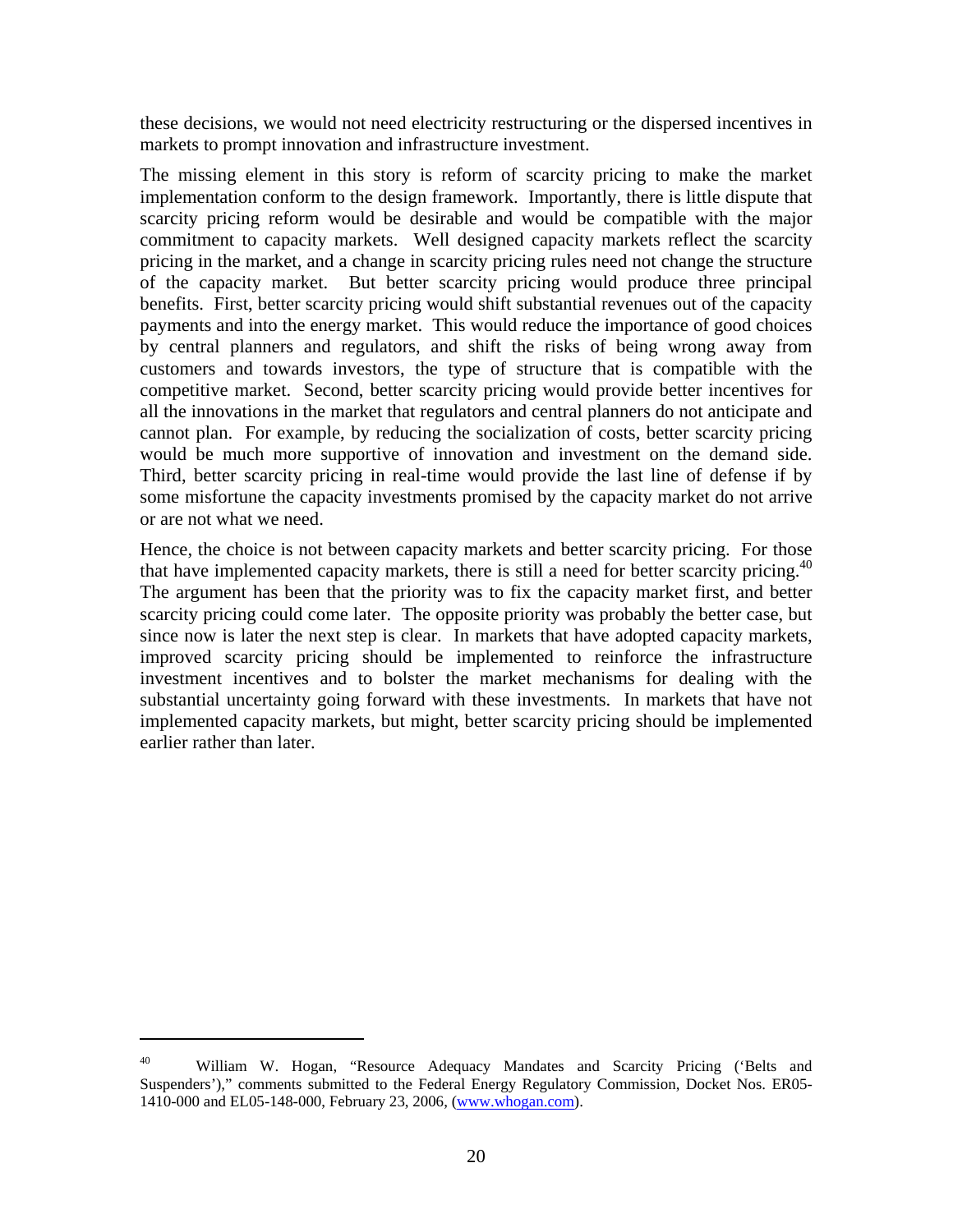these decisions, we would not need electricity restructuring or the dispersed incentives in markets to prompt innovation and infrastructure investment.

The missing element in this story is reform of scarcity pricing to make the market implementation conform to the design framework. Importantly, there is little dispute that scarcity pricing reform would be desirable and would be compatible with the major commitment to capacity markets. Well designed capacity markets reflect the scarcity pricing in the market, and a change in scarcity pricing rules need not change the structure of the capacity market. But better scarcity pricing would produce three principal benefits. First, better scarcity pricing would shift substantial revenues out of the capacity payments and into the energy market. This would reduce the importance of good choices by central planners and regulators, and shift the risks of being wrong away from customers and towards investors, the type of structure that is compatible with the competitive market. Second, better scarcity pricing would provide better incentives for all the innovations in the market that regulators and central planners do not anticipate and cannot plan. For example, by reducing the socialization of costs, better scarcity pricing would be much more supportive of innovation and investment on the demand side. Third, better scarcity pricing in real-time would provide the last line of defense if by some misfortune the capacity investments promised by the capacity market do not arrive or are not what we need.

Hence, the choice is not between capacity markets and better scarcity pricing. For those that have implemented capacity markets, there is still a need for better scarcity pricing.<sup>40</sup> The argument has been that the priority was to fix the capacity market first, and better scarcity pricing could come later. The opposite priority was probably the better case, but since now is later the next step is clear. In markets that have adopted capacity markets, improved scarcity pricing should be implemented to reinforce the infrastructure investment incentives and to bolster the market mechanisms for dealing with the substantial uncertainty going forward with these investments. In markets that have not implemented capacity markets, but might, better scarcity pricing should be implemented earlier rather than later.

<sup>40</sup> William W. Hogan, "Resource Adequacy Mandates and Scarcity Pricing ('Belts and Suspenders')," comments submitted to the Federal Energy Regulatory Commission, Docket Nos. ER05- 1410-000 and EL05-148-000, February 23, 2006, (www.whogan.com).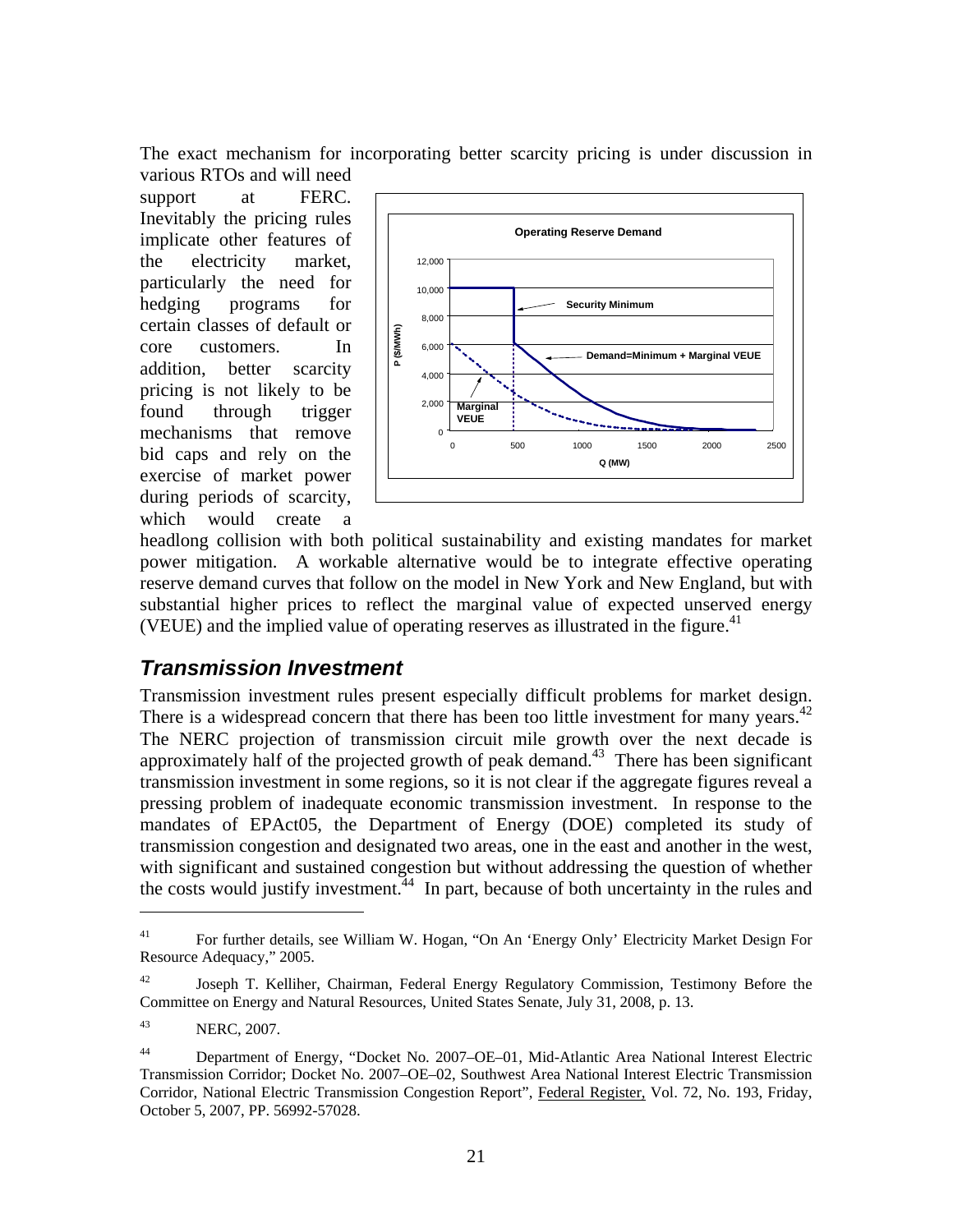The exact mechanism for incorporating better scarcity pricing is under discussion in

various RTOs and will need support at FERC. Inevitably the pricing rules implicate other features of the electricity market, particularly the need for hedging programs for certain classes of default or core customers. In addition, better scarcity pricing is not likely to be found through trigger mechanisms that remove bid caps and rely on the exercise of market power during periods of scarcity, which would create a



headlong collision with both political sustainability and existing mandates for market power mitigation. A workable alternative would be to integrate effective operating reserve demand curves that follow on the model in New York and New England, but with substantial higher prices to reflect the marginal value of expected unserved energy (VEUE) and the implied value of operating reserves as illustrated in the figure.<sup>41</sup>

#### *Transmission Investment*

Transmission investment rules present especially difficult problems for market design. There is a widespread concern that there has been too little investment for many years.<sup>42</sup> The NERC projection of transmission circuit mile growth over the next decade is approximately half of the projected growth of peak demand.<sup>43</sup> There has been significant transmission investment in some regions, so it is not clear if the aggregate figures reveal a pressing problem of inadequate economic transmission investment. In response to the mandates of EPAct05, the Department of Energy (DOE) completed its study of transmission congestion and designated two areas, one in the east and another in the west, with significant and sustained congestion but without addressing the question of whether the costs would justify investment.<sup>44</sup> In part, because of both uncertainty in the rules and

<sup>41</sup> For further details, see William W. Hogan, "On An 'Energy Only' Electricity Market Design For Resource Adequacy," 2005.

 $^{42}$  Joseph T. Kelliher, Chairman, Federal Energy Regulatory Commission, Testimony Before the Committee on Energy and Natural Resources, United States Senate, July 31, 2008, p. 13.

<sup>43</sup> NERC, 2007.

<sup>44</sup> Department of Energy, "Docket No. 2007–OE–01, Mid-Atlantic Area National Interest Electric Transmission Corridor; Docket No. 2007–OE–02, Southwest Area National Interest Electric Transmission Corridor, National Electric Transmission Congestion Report", Federal Register, Vol. 72, No. 193, Friday, October 5, 2007, PP. 56992-57028.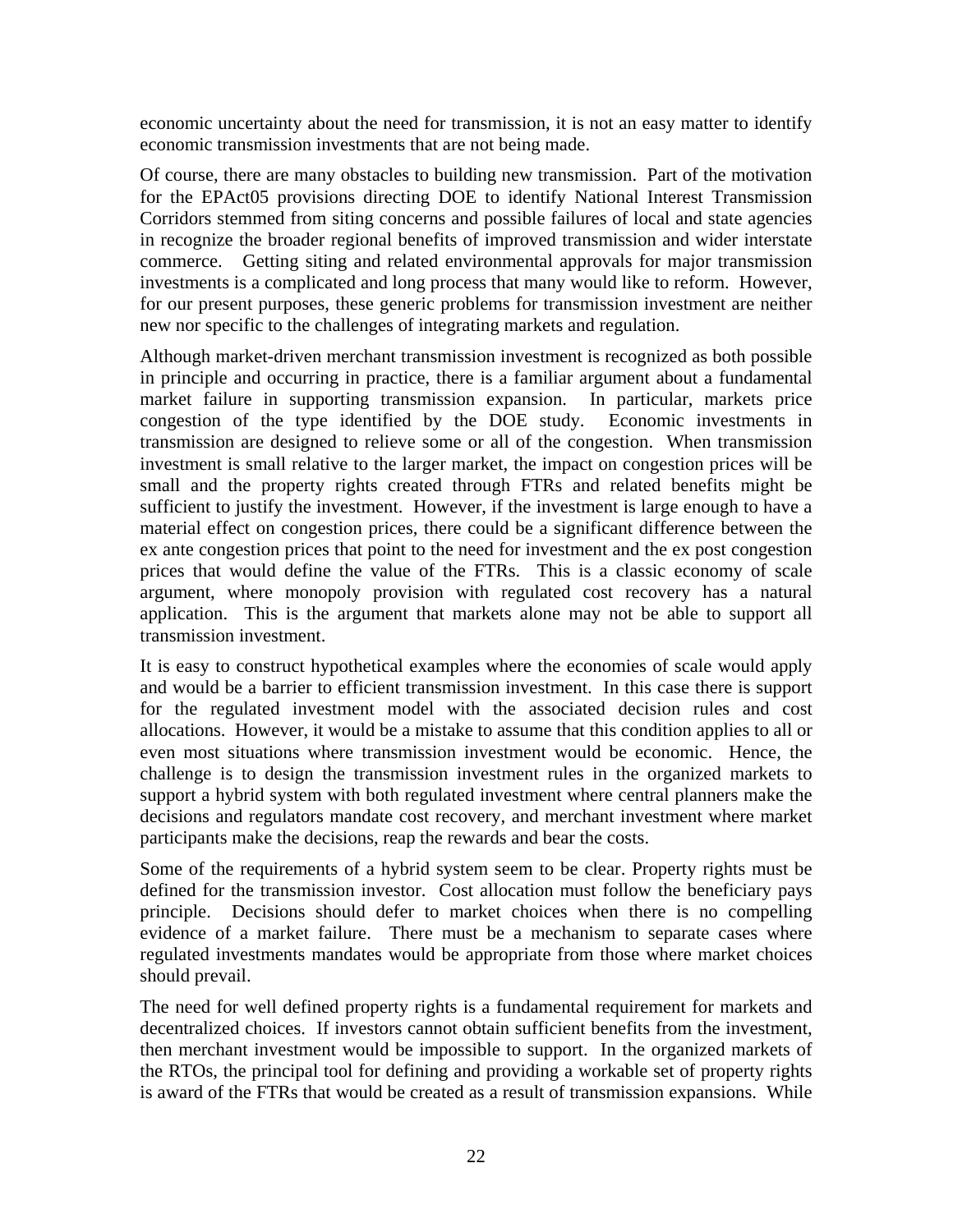economic uncertainty about the need for transmission, it is not an easy matter to identify economic transmission investments that are not being made.

Of course, there are many obstacles to building new transmission. Part of the motivation for the EPAct05 provisions directing DOE to identify National Interest Transmission Corridors stemmed from siting concerns and possible failures of local and state agencies in recognize the broader regional benefits of improved transmission and wider interstate commerce. Getting siting and related environmental approvals for major transmission investments is a complicated and long process that many would like to reform. However, for our present purposes, these generic problems for transmission investment are neither new nor specific to the challenges of integrating markets and regulation.

Although market-driven merchant transmission investment is recognized as both possible in principle and occurring in practice, there is a familiar argument about a fundamental market failure in supporting transmission expansion. In particular, markets price congestion of the type identified by the DOE study. Economic investments in transmission are designed to relieve some or all of the congestion. When transmission investment is small relative to the larger market, the impact on congestion prices will be small and the property rights created through FTRs and related benefits might be sufficient to justify the investment. However, if the investment is large enough to have a material effect on congestion prices, there could be a significant difference between the ex ante congestion prices that point to the need for investment and the ex post congestion prices that would define the value of the FTRs. This is a classic economy of scale argument, where monopoly provision with regulated cost recovery has a natural application. This is the argument that markets alone may not be able to support all transmission investment.

It is easy to construct hypothetical examples where the economies of scale would apply and would be a barrier to efficient transmission investment. In this case there is support for the regulated investment model with the associated decision rules and cost allocations. However, it would be a mistake to assume that this condition applies to all or even most situations where transmission investment would be economic. Hence, the challenge is to design the transmission investment rules in the organized markets to support a hybrid system with both regulated investment where central planners make the decisions and regulators mandate cost recovery, and merchant investment where market participants make the decisions, reap the rewards and bear the costs.

Some of the requirements of a hybrid system seem to be clear. Property rights must be defined for the transmission investor. Cost allocation must follow the beneficiary pays principle. Decisions should defer to market choices when there is no compelling evidence of a market failure. There must be a mechanism to separate cases where regulated investments mandates would be appropriate from those where market choices should prevail.

The need for well defined property rights is a fundamental requirement for markets and decentralized choices. If investors cannot obtain sufficient benefits from the investment, then merchant investment would be impossible to support. In the organized markets of the RTOs, the principal tool for defining and providing a workable set of property rights is award of the FTRs that would be created as a result of transmission expansions. While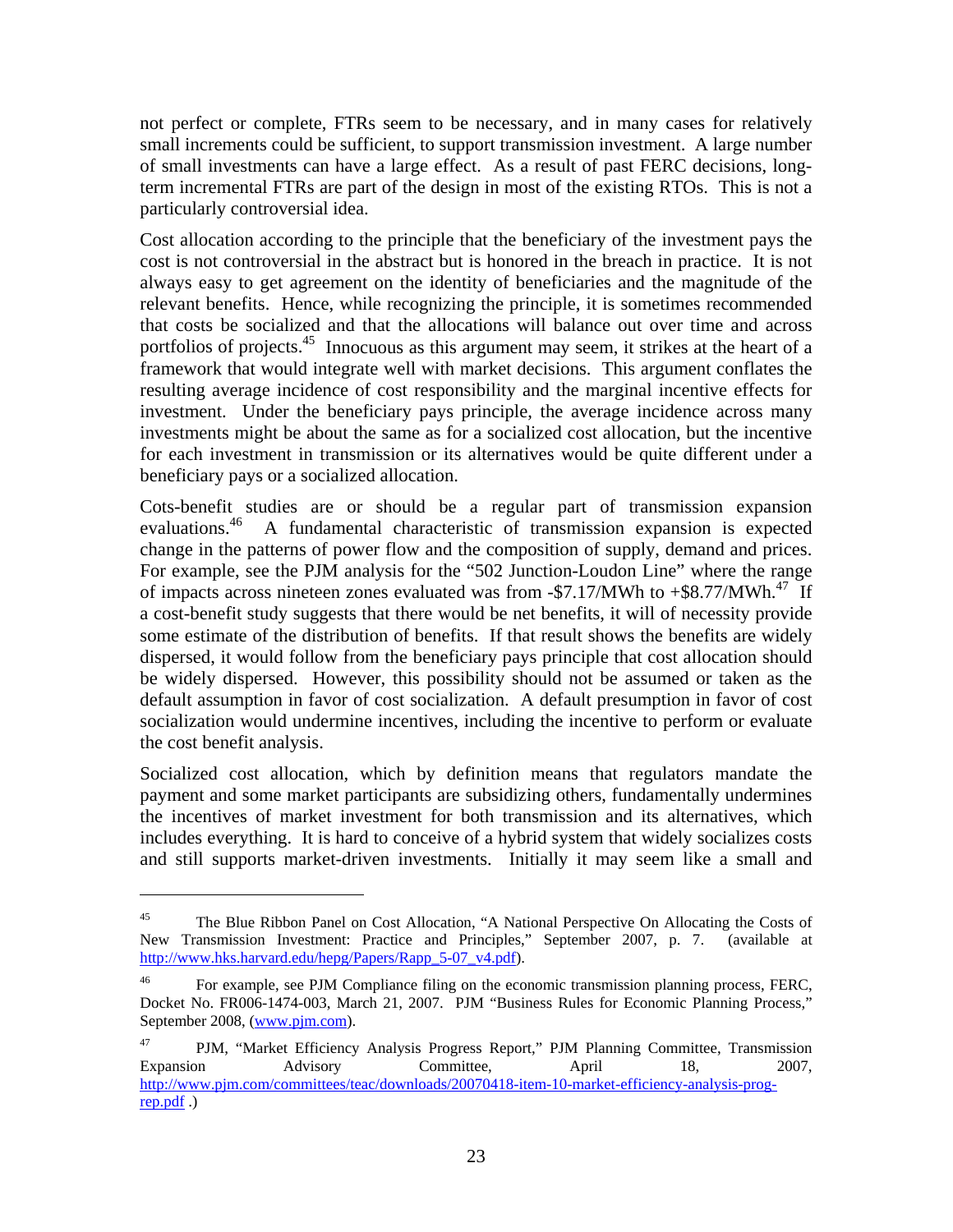not perfect or complete, FTRs seem to be necessary, and in many cases for relatively small increments could be sufficient, to support transmission investment. A large number of small investments can have a large effect. As a result of past FERC decisions, longterm incremental FTRs are part of the design in most of the existing RTOs. This is not a particularly controversial idea.

Cost allocation according to the principle that the beneficiary of the investment pays the cost is not controversial in the abstract but is honored in the breach in practice. It is not always easy to get agreement on the identity of beneficiaries and the magnitude of the relevant benefits. Hence, while recognizing the principle, it is sometimes recommended that costs be socialized and that the allocations will balance out over time and across portfolios of projects.<sup>45</sup> Innocuous as this argument may seem, it strikes at the heart of a framework that would integrate well with market decisions. This argument conflates the resulting average incidence of cost responsibility and the marginal incentive effects for investment. Under the beneficiary pays principle, the average incidence across many investments might be about the same as for a socialized cost allocation, but the incentive for each investment in transmission or its alternatives would be quite different under a beneficiary pays or a socialized allocation.

Cots-benefit studies are or should be a regular part of transmission expansion evaluations.<sup>46</sup> A fundamental characteristic of transmission expansion is expected change in the patterns of power flow and the composition of supply, demand and prices. For example, see the PJM analysis for the "502 Junction-Loudon Line" where the range of impacts across nineteen zones evaluated was from  $-$ \$7.17/MWh to  $+$ \$8.77/MWh.<sup>47</sup> If a cost-benefit study suggests that there would be net benefits, it will of necessity provide some estimate of the distribution of benefits. If that result shows the benefits are widely dispersed, it would follow from the beneficiary pays principle that cost allocation should be widely dispersed. However, this possibility should not be assumed or taken as the default assumption in favor of cost socialization. A default presumption in favor of cost socialization would undermine incentives, including the incentive to perform or evaluate the cost benefit analysis.

Socialized cost allocation, which by definition means that regulators mandate the payment and some market participants are subsidizing others, fundamentally undermines the incentives of market investment for both transmission and its alternatives, which includes everything. It is hard to conceive of a hybrid system that widely socializes costs and still supports market-driven investments. Initially it may seem like a small and

1

<sup>&</sup>lt;sup>45</sup> The Blue Ribbon Panel on Cost Allocation, "A National Perspective On Allocating the Costs of New Transmission Investment: Practice and Principles," September 2007, p. 7. (available at http://www.hks.harvard.edu/hepg/Papers/Rapp\_5-07\_v4.pdf).

<sup>&</sup>lt;sup>46</sup> For example, see PJM Compliance filing on the economic transmission planning process, FERC, Docket No. FR006-1474-003, March 21, 2007. PJM "Business Rules for Economic Planning Process," September 2008, (www.pjm.com).

<sup>47</sup> PJM, "Market Efficiency Analysis Progress Report," PJM Planning Committee, Transmission Expansion Advisory Committee, April 18, 2007, http://www.pjm.com/committees/teac/downloads/20070418-item-10-market-efficiency-analysis-progrep.pdf.)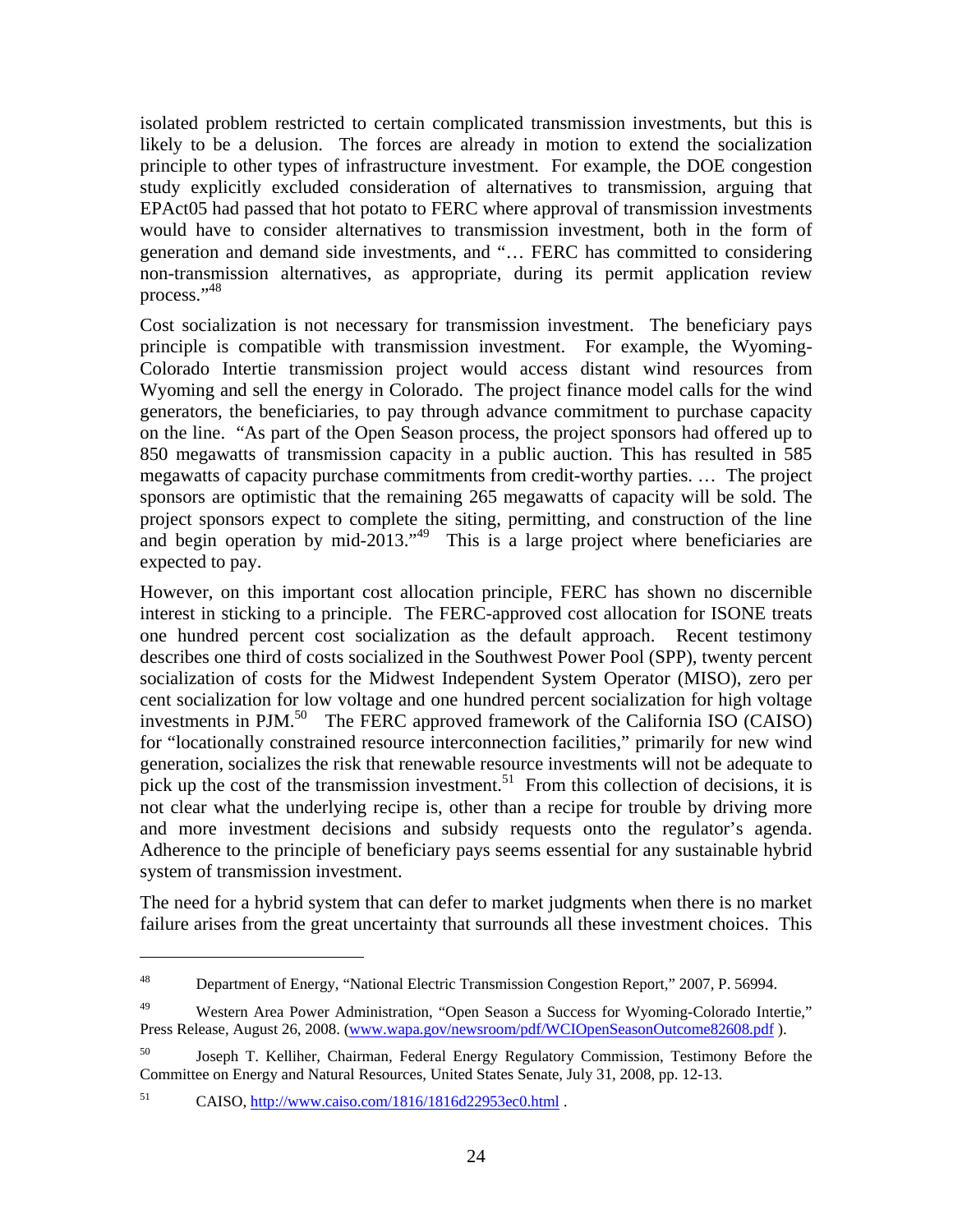isolated problem restricted to certain complicated transmission investments, but this is likely to be a delusion. The forces are already in motion to extend the socialization principle to other types of infrastructure investment. For example, the DOE congestion study explicitly excluded consideration of alternatives to transmission, arguing that EPAct05 had passed that hot potato to FERC where approval of transmission investments would have to consider alternatives to transmission investment, both in the form of generation and demand side investments, and "… FERC has committed to considering non-transmission alternatives, as appropriate, during its permit application review process."48

Cost socialization is not necessary for transmission investment. The beneficiary pays principle is compatible with transmission investment. For example, the Wyoming-Colorado Intertie transmission project would access distant wind resources from Wyoming and sell the energy in Colorado. The project finance model calls for the wind generators, the beneficiaries, to pay through advance commitment to purchase capacity on the line. "As part of the Open Season process, the project sponsors had offered up to 850 megawatts of transmission capacity in a public auction. This has resulted in 585 megawatts of capacity purchase commitments from credit-worthy parties. … The project sponsors are optimistic that the remaining 265 megawatts of capacity will be sold. The project sponsors expect to complete the siting, permitting, and construction of the line and begin operation by mid-2013."<sup>49</sup> This is a large project where beneficiaries are expected to pay.

However, on this important cost allocation principle, FERC has shown no discernible interest in sticking to a principle. The FERC-approved cost allocation for ISONE treats one hundred percent cost socialization as the default approach. Recent testimony describes one third of costs socialized in the Southwest Power Pool (SPP), twenty percent socialization of costs for the Midwest Independent System Operator (MISO), zero per cent socialization for low voltage and one hundred percent socialization for high voltage investments in PJM.<sup>50</sup> The FERC approved framework of the California ISO (CAISO) for "locationally constrained resource interconnection facilities," primarily for new wind generation, socializes the risk that renewable resource investments will not be adequate to pick up the cost of the transmission investment.<sup>51</sup> From this collection of decisions, it is not clear what the underlying recipe is, other than a recipe for trouble by driving more and more investment decisions and subsidy requests onto the regulator's agenda. Adherence to the principle of beneficiary pays seems essential for any sustainable hybrid system of transmission investment.

The need for a hybrid system that can defer to market judgments when there is no market failure arises from the great uncertainty that surrounds all these investment choices. This

<sup>48</sup> Department of Energy, "National Electric Transmission Congestion Report," 2007, P. 56994.

<sup>&</sup>lt;sup>49</sup> Western Area Power Administration, "Open Season a Success for Wyoming-Colorado Intertie," Press Release, August 26, 2008. (www.wapa.gov/newsroom/pdf/WCIOpenSeasonOutcome82608.pdf ).

<sup>&</sup>lt;sup>50</sup> Joseph T. Kelliher, Chairman, Federal Energy Regulatory Commission, Testimony Before the Committee on Energy and Natural Resources, United States Senate, July 31, 2008, pp. 12-13.

<sup>51</sup> CAISO, http://www.caiso.com/1816/1816d22953ec0.html .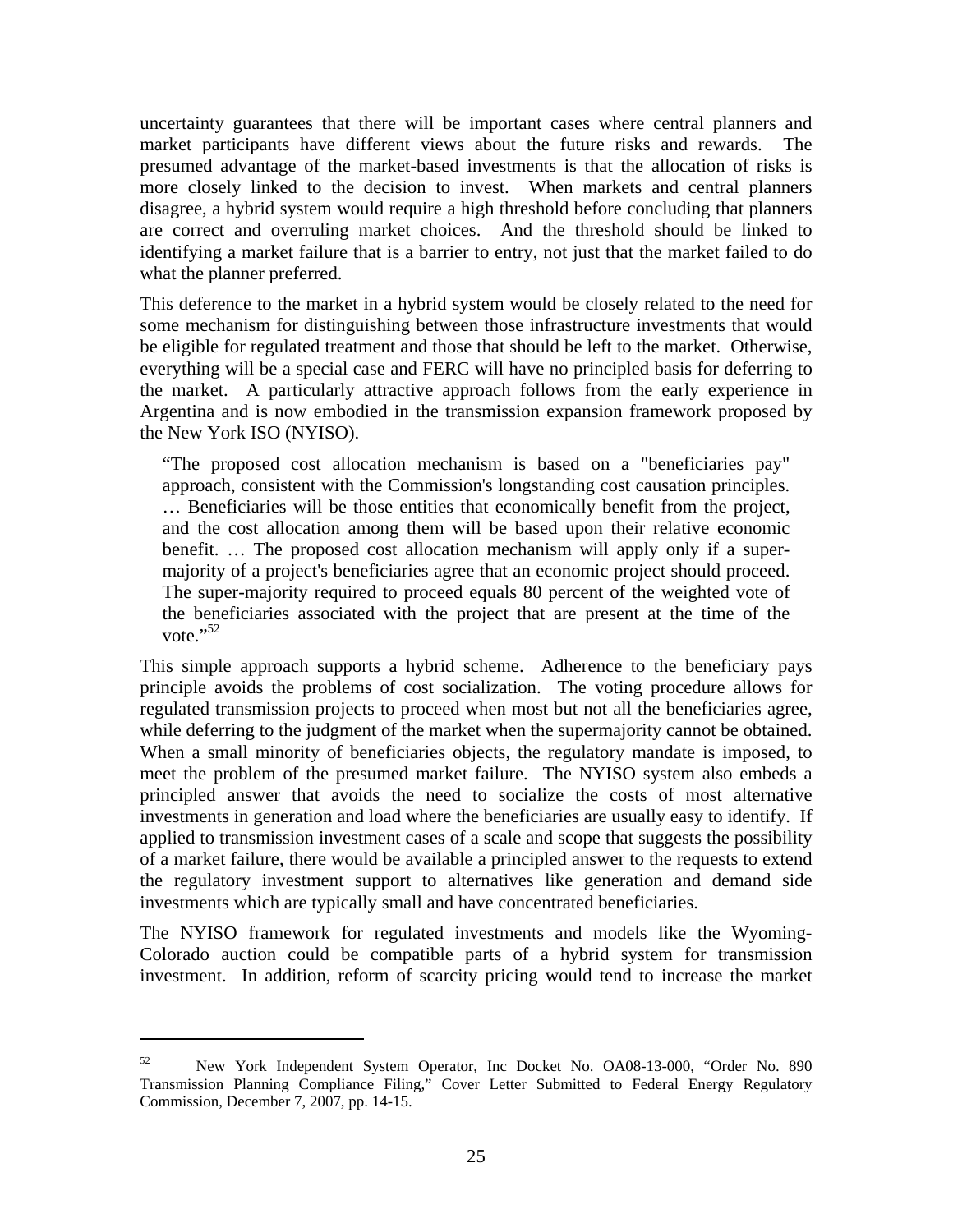uncertainty guarantees that there will be important cases where central planners and market participants have different views about the future risks and rewards. The presumed advantage of the market-based investments is that the allocation of risks is more closely linked to the decision to invest. When markets and central planners disagree, a hybrid system would require a high threshold before concluding that planners are correct and overruling market choices. And the threshold should be linked to identifying a market failure that is a barrier to entry, not just that the market failed to do what the planner preferred.

This deference to the market in a hybrid system would be closely related to the need for some mechanism for distinguishing between those infrastructure investments that would be eligible for regulated treatment and those that should be left to the market. Otherwise, everything will be a special case and FERC will have no principled basis for deferring to the market. A particularly attractive approach follows from the early experience in Argentina and is now embodied in the transmission expansion framework proposed by the New York ISO (NYISO).

"The proposed cost allocation mechanism is based on a "beneficiaries pay" approach, consistent with the Commission's longstanding cost causation principles. … Beneficiaries will be those entities that economically benefit from the project, and the cost allocation among them will be based upon their relative economic benefit. … The proposed cost allocation mechanism will apply only if a supermajority of a project's beneficiaries agree that an economic project should proceed. The super-majority required to proceed equals 80 percent of the weighted vote of the beneficiaries associated with the project that are present at the time of the vote." $52$ 

This simple approach supports a hybrid scheme. Adherence to the beneficiary pays principle avoids the problems of cost socialization. The voting procedure allows for regulated transmission projects to proceed when most but not all the beneficiaries agree, while deferring to the judgment of the market when the supermajority cannot be obtained. When a small minority of beneficiaries objects, the regulatory mandate is imposed, to meet the problem of the presumed market failure. The NYISO system also embeds a principled answer that avoids the need to socialize the costs of most alternative investments in generation and load where the beneficiaries are usually easy to identify. If applied to transmission investment cases of a scale and scope that suggests the possibility of a market failure, there would be available a principled answer to the requests to extend the regulatory investment support to alternatives like generation and demand side investments which are typically small and have concentrated beneficiaries.

The NYISO framework for regulated investments and models like the Wyoming-Colorado auction could be compatible parts of a hybrid system for transmission investment. In addition, reform of scarcity pricing would tend to increase the market

1

<sup>52</sup> New York Independent System Operator, Inc Docket No. OA08-13-000, "Order No. 890 Transmission Planning Compliance Filing," Cover Letter Submitted to Federal Energy Regulatory Commission, December 7, 2007, pp. 14-15.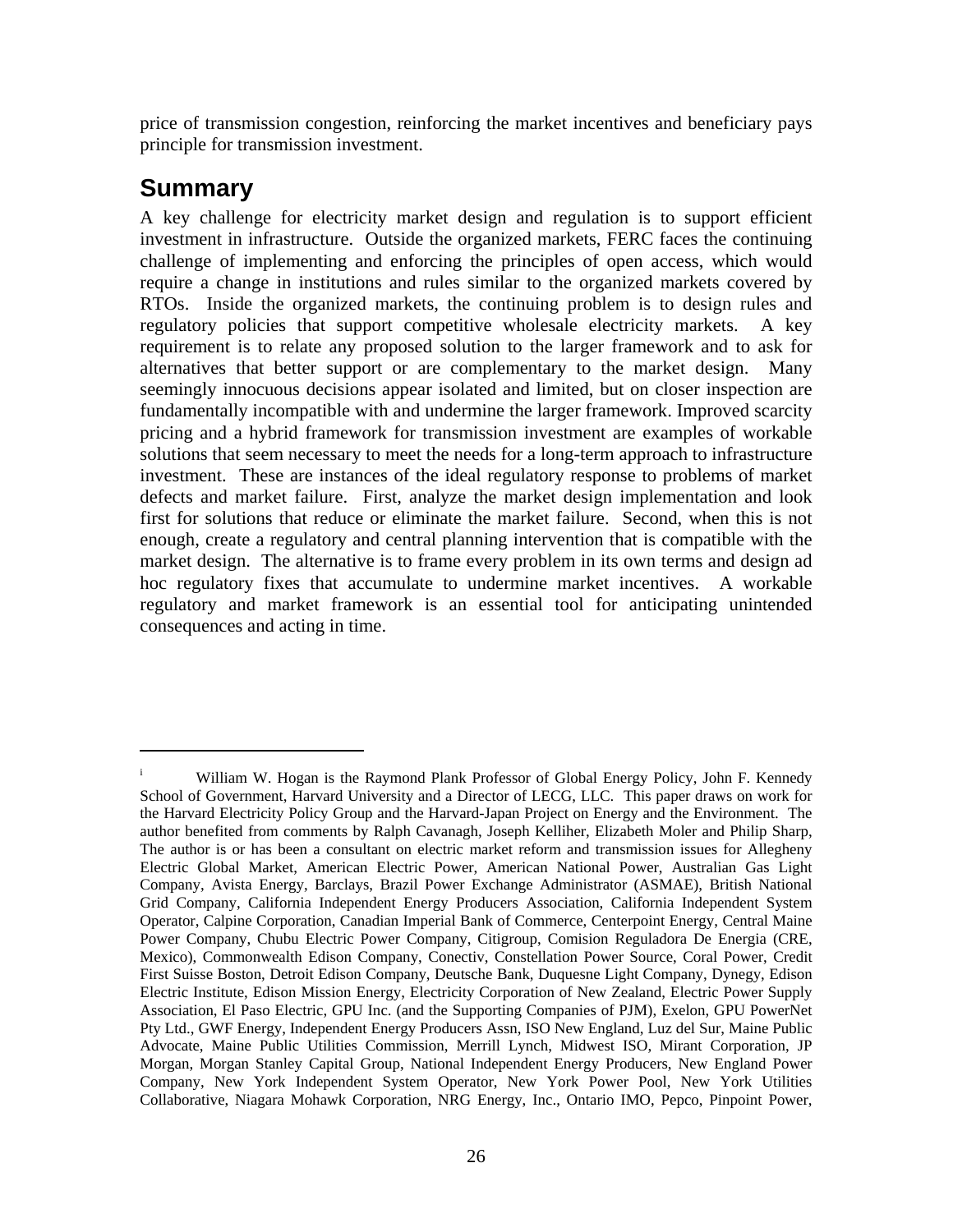price of transmission congestion, reinforcing the market incentives and beneficiary pays principle for transmission investment.

# **Summary**

 $\overline{a}$ 

A key challenge for electricity market design and regulation is to support efficient investment in infrastructure. Outside the organized markets, FERC faces the continuing challenge of implementing and enforcing the principles of open access, which would require a change in institutions and rules similar to the organized markets covered by RTOs. Inside the organized markets, the continuing problem is to design rules and regulatory policies that support competitive wholesale electricity markets. A key requirement is to relate any proposed solution to the larger framework and to ask for alternatives that better support or are complementary to the market design. Many seemingly innocuous decisions appear isolated and limited, but on closer inspection are fundamentally incompatible with and undermine the larger framework. Improved scarcity pricing and a hybrid framework for transmission investment are examples of workable solutions that seem necessary to meet the needs for a long-term approach to infrastructure investment. These are instances of the ideal regulatory response to problems of market defects and market failure. First, analyze the market design implementation and look first for solutions that reduce or eliminate the market failure. Second, when this is not enough, create a regulatory and central planning intervention that is compatible with the market design. The alternative is to frame every problem in its own terms and design ad hoc regulatory fixes that accumulate to undermine market incentives. A workable regulatory and market framework is an essential tool for anticipating unintended consequences and acting in time.

i William W. Hogan is the Raymond Plank Professor of Global Energy Policy, John F. Kennedy School of Government, Harvard University and a Director of LECG, LLC. This paper draws on work for the Harvard Electricity Policy Group and the Harvard-Japan Project on Energy and the Environment. The author benefited from comments by Ralph Cavanagh, Joseph Kelliher, Elizabeth Moler and Philip Sharp, The author is or has been a consultant on electric market reform and transmission issues for Allegheny Electric Global Market, American Electric Power, American National Power, Australian Gas Light Company, Avista Energy, Barclays, Brazil Power Exchange Administrator (ASMAE), British National Grid Company, California Independent Energy Producers Association, California Independent System Operator, Calpine Corporation, Canadian Imperial Bank of Commerce, Centerpoint Energy, Central Maine Power Company, Chubu Electric Power Company, Citigroup, Comision Reguladora De Energia (CRE, Mexico), Commonwealth Edison Company, Conectiv, Constellation Power Source, Coral Power, Credit First Suisse Boston, Detroit Edison Company, Deutsche Bank, Duquesne Light Company, Dynegy, Edison Electric Institute, Edison Mission Energy, Electricity Corporation of New Zealand, Electric Power Supply Association, El Paso Electric, GPU Inc. (and the Supporting Companies of PJM), Exelon, GPU PowerNet Pty Ltd., GWF Energy, Independent Energy Producers Assn, ISO New England, Luz del Sur, Maine Public Advocate, Maine Public Utilities Commission, Merrill Lynch, Midwest ISO, Mirant Corporation, JP Morgan, Morgan Stanley Capital Group, National Independent Energy Producers, New England Power Company, New York Independent System Operator, New York Power Pool, New York Utilities Collaborative, Niagara Mohawk Corporation, NRG Energy, Inc., Ontario IMO, Pepco, Pinpoint Power,